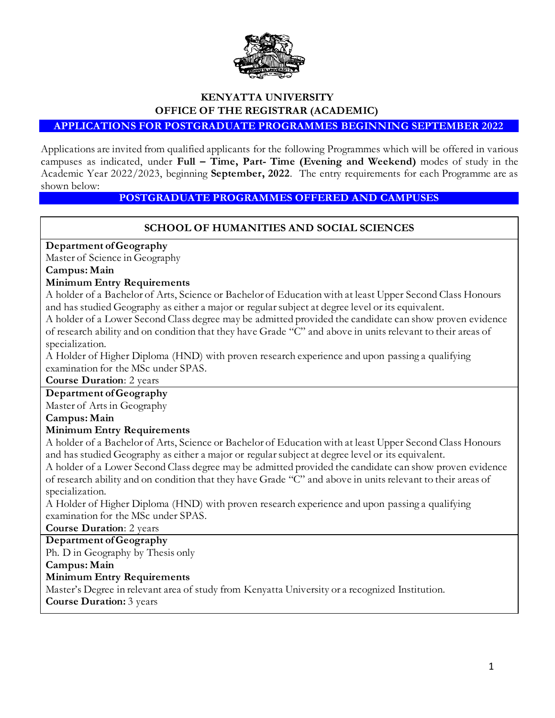

# **KENYATTA UNIVERSITY OFFICE OF THE REGISTRAR (ACADEMIC)**

**APPLICATIONS FOR POSTGRADUATE PROGRAMMES BEGINNING SEPTEMBER 2022**

Applications are invited from qualified applicants for the following Programmes which will be offered in various campuses as indicated, under **Full – Time, Part- Time (Evening and Weekend)** modes of study in the Academic Year 2022/2023, beginning **September, 2022**. The entry requirements for each Programme are as shown below:

#### **POSTGRADUATE PROGRAMMES OFFERED AND CAMPUSES**

#### **SCHOOL OF HUMANITIES AND SOCIAL SCIENCES**

#### **Department of Geography**

Master of Science in Geography

**Campus: Main**

#### **Minimum Entry Requirements**

A holder of a Bachelor of Arts, Science or Bachelor of Education with at least Upper Second Class Honours and has studied Geography as either a major or regular subject at degree level or its equivalent.

A holder of a Lower Second Class degree may be admitted provided the candidate can show proven evidence of research ability and on condition that they have Grade "C" and above in units relevant to their areas of specialization.

A Holder of Higher Diploma (HND) with proven research experience and upon passing a qualifying examination for the MSc under SPAS.

**Course Duration**: 2 years

#### **Department of Geography**

Master of Arts in Geography

**Campus: Main**

#### **Minimum Entry Requirements**

A holder of a Bachelor of Arts, Science or Bachelor of Education with at least Upper Second Class Honours and has studied Geography as either a major or regular subject at degree level or its equivalent.

A holder of a Lower Second Class degree may be admitted provided the candidate can show proven evidence of research ability and on condition that they have Grade "C" and above in units relevant to their areas of specialization.

A Holder of Higher Diploma (HND) with proven research experience and upon passing a qualifying examination for the MSc under SPAS.

**Course Duration**: 2 years

**Department of Geography**

Ph. D in Geography by Thesis only

#### **Campus: Main**

#### **Minimum Entry Requirements**

Master's Degree in relevant area of study from Kenyatta University or a recognized Institution. **Course Duration:** 3 years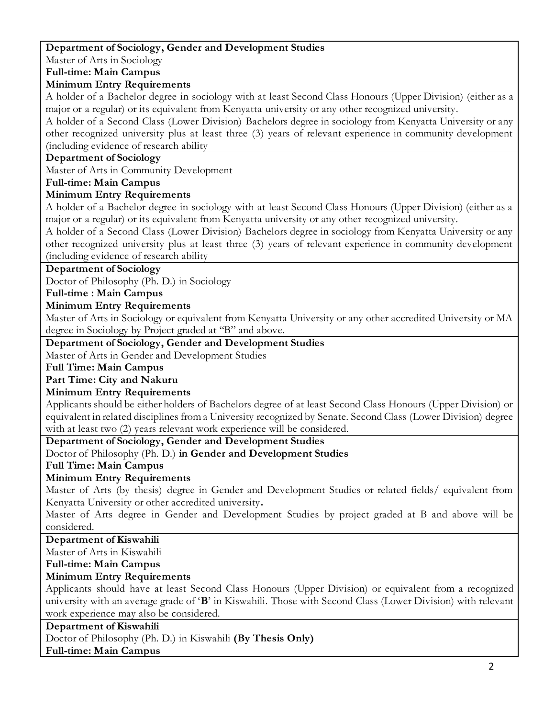#### **Department of Sociology, Gender and Development Studies**

Master of Arts in Sociology

**Full-time: Main Campus**

#### **Minimum Entry Requirements**

A holder of a Bachelor degree in sociology with at least Second Class Honours (Upper Division) (either as a major or a regular) or its equivalent from Kenyatta university or any other recognized university.

A holder of a Second Class (Lower Division) Bachelors degree in sociology from Kenyatta University or any other recognized university plus at least three (3) years of relevant experience in community development (including evidence of research ability

### **Department of Sociology**

Master of Arts in Community Development

#### **Full-time: Main Campus**

#### **Minimum Entry Requirements**

A holder of a Bachelor degree in sociology with at least Second Class Honours (Upper Division) (either as a major or a regular) or its equivalent from Kenyatta university or any other recognized university.

A holder of a Second Class (Lower Division) Bachelors degree in sociology from Kenyatta University or any other recognized university plus at least three (3) years of relevant experience in community development (including evidence of research ability

#### **Department of Sociology**

Doctor of Philosophy (Ph. D.) in Sociology

# **Full-time : Main Campus**

#### **Minimum Entry Requirements**

Master of Arts in Sociology or equivalent from Kenyatta University or any other accredited University or MA degree in Sociology by Project graded at "B" and above.

#### **Department of Sociology, Gender and Development Studies**

Master of Arts in Gender and Development Studies

**Full Time: Main Campus**

#### **Part Time: City and Nakuru**

#### **Minimum Entry Requirements**

Applicants should be either holders of Bachelors degree of at least Second Class Honours (Upper Division) or equivalent in related disciplines from a University recognized by Senate. Second Class (Lower Division) degree with at least two (2) years relevant work experience will be considered.

#### **Department of Sociology, Gender and Development Studies**

Doctor of Philosophy (Ph. D.) **in Gender and Development Studies**

#### **Full Time: Main Campus**

#### **Minimum Entry Requirements**

Master of Arts (by thesis) degree in Gender and Development Studies or related fields/ equivalent from Kenyatta University or other accredited university**.**

Master of Arts degree in Gender and Development Studies by project graded at B and above will be considered.

#### **Department of Kiswahili**

Master of Arts in Kiswahili

# **Full-time: Main Campus**

#### **Minimum Entry Requirements**

Applicants should have at least Second Class Honours (Upper Division) or equivalent from a recognized university with an average grade of '**B**' in Kiswahili. Those with Second Class (Lower Division) with relevant work experience may also be considered.

#### **Department of Kiswahili**

Doctor of Philosophy (Ph. D.) in Kiswahili **(By Thesis Only) Full-time: Main Campus**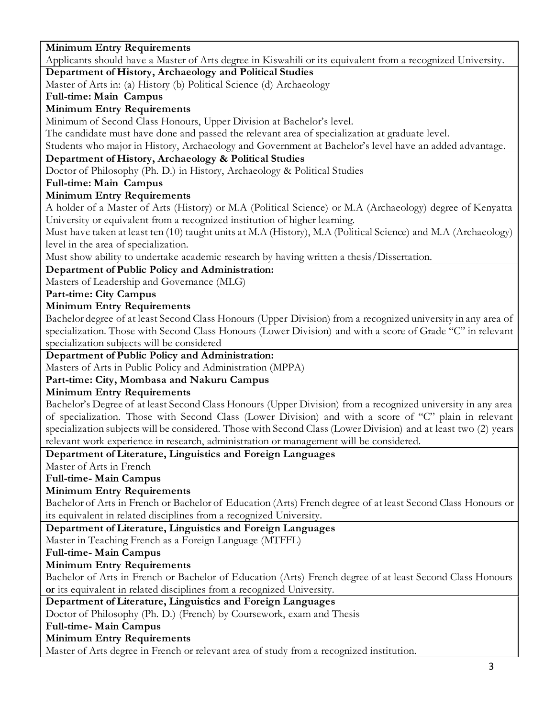#### 3 **Minimum Entry Requirements**  Applicants should have a Master of Arts degree in Kiswahili or its equivalent from a recognized University. **Department of History, Archaeology and Political Studies** Master of Arts in: (a) History (b) Political Science (d) Archaeology **Full-time: Main Campus Minimum Entry Requirements**  Minimum of Second Class Honours, Upper Division at Bachelor's level. The candidate must have done and passed the relevant area of specialization at graduate level. Students who major in History, Archaeology and Government at Bachelor's level have an added advantage. **Department of History, Archaeology & Political Studies** Doctor of Philosophy (Ph. D.) in History, Archaeology & Political Studies **Full-time: Main Campus Minimum Entry Requirements** A holder of a Master of Arts (History) or M.A (Political Science) or M.A (Archaeology) degree of Kenyatta University or equivalent from a recognized institution of higher learning. Must have taken at least ten (10) taught units at M.A (History), M.A (Political Science) and M.A (Archaeology) level in the area of specialization. Must show ability to undertake academic research by having written a thesis/Dissertation. **Department of Public Policy and Administration:** Masters of Leadership and Governance (MLG) **Part-time: City Campus Minimum Entry Requirements** Bachelor degree of at least Second Class Honours (Upper Division) from a recognized university in any area of specialization. Those with Second Class Honours (Lower Division) and with a score of Grade "C" in relevant specialization subjects will be considered **Department of Public Policy and Administration:** Masters of Arts in Public Policy and Administration (MPPA) **Part-time: City, Mombasa and Nakuru Campus Minimum Entry Requirements**  Bachelor's Degree of at least Second Class Honours (Upper Division) from a recognized university in any area of specialization. Those with Second Class (Lower Division) and with a score of "C" plain in relevant specialization subjects will be considered. Those with Second Class (Lower Division) and at least two (2) years relevant work experience in research, administration or management will be considered. **Department of Literature, Linguistics and Foreign Languages** Master of Arts in French **Full-time- Main Campus Minimum Entry Requirements** Bachelor of Arts in French or Bachelor of Education (Arts) French degree of at least Second Class Honours or its equivalent in related disciplines from a recognized University. **Department of Literature, Linguistics and Foreign Languages** Master in Teaching French as a Foreign Language (MTFFL) **Full-time- Main Campus Minimum Entry Requirements** Bachelor of Arts in French or Bachelor of Education (Arts) French degree of at least Second Class Honours **or** its equivalent in related disciplines from a recognized University. **Department of Literature, Linguistics and Foreign Languages** Doctor of Philosophy (Ph. D.) (French) by Coursework, exam and Thesis **Full-time- Main Campus Minimum Entry Requirements** Master of Arts degree in French or relevant area of study from a recognized institution.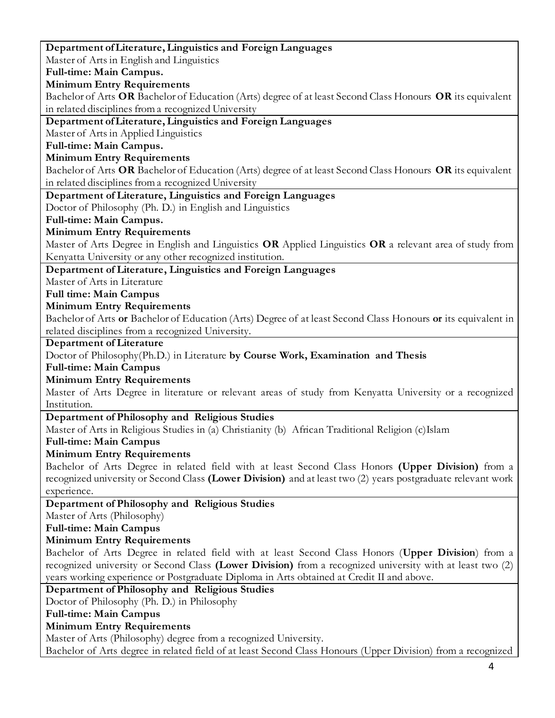4 **Department of Literature, Linguistics and Foreign Languages** Master of Arts in English and Linguistics **Full-time: Main Campus. Minimum Entry Requirements** Bachelor of Arts **OR** Bachelor of Education (Arts) degree of at least Second Class Honours **OR** its equivalent in related disciplines from a recognized University **Department of Literature, Linguistics and Foreign Languages** Master of Arts in Applied Linguistics **Full-time: Main Campus. Minimum Entry Requirements** Bachelor of Arts **OR** Bachelor of Education (Arts) degree of at least Second Class Honours **OR** its equivalent in related disciplines from a recognized University **Department of Literature, Linguistics and Foreign Languages** Doctor of Philosophy (Ph. D.) in English and Linguistics **Full-time: Main Campus. Minimum Entry Requirements** Master of Arts Degree in English and Linguistics **OR** Applied Linguistics **OR** a relevant area of study from Kenyatta University or any other recognized institution. **Department of Literature, Linguistics and Foreign Languages** Master of Arts in Literature **Full time: Main Campus Minimum Entry Requirements** Bachelor of Arts **or** Bachelor of Education (Arts) Degree of at least Second Class Honours **or** its equivalent in related disciplines from a recognized University. **Department of Literature** Doctor of Philosophy(Ph.D.) in Literature **by Course Work, Examination and Thesis Full-time: Main Campus Minimum Entry Requirements** Master of Arts Degree in literature or relevant areas of study from Kenyatta University or a recognized Institution. **Department of Philosophy and Religious Studies** Master of Arts in Religious Studies in (a) Christianity (b) African Traditional Religion (c)Islam **Full-time: Main Campus Minimum Entry Requirements** Bachelor of Arts Degree in related field with at least Second Class Honors **(Upper Division)** from a recognized university or Second Class **(Lower Division)** and at least two (2) years postgraduate relevant work experience. **Department of Philosophy and Religious Studies** Master of Arts (Philosophy) **Full-time: Main Campus Minimum Entry Requirements** Bachelor of Arts Degree in related field with at least Second Class Honors (**Upper Division**) from a recognized university or Second Class **(Lower Division)** from a recognized university with at least two (2) years working experience or Postgraduate Diploma in Arts obtained at Credit II and above. **Department of Philosophy and Religious Studies** Doctor of Philosophy (Ph. D.) in Philosophy **Full-time: Main Campus Minimum Entry Requirements** Master of Arts (Philosophy) degree from a recognized University. Bachelor of Arts degree in related field of at least Second Class Honours (Upper Division) from a recognized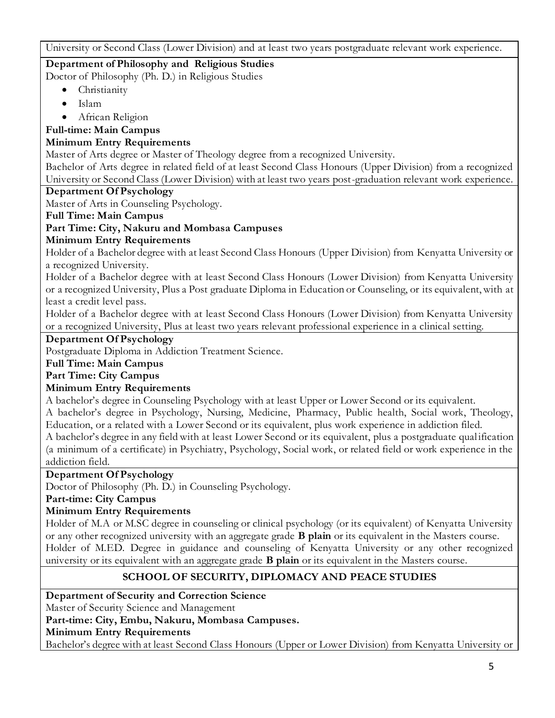University or Second Class (Lower Division) and at least two years postgraduate relevant work experience.

# **Department of Philosophy and Religious Studies**

Doctor of Philosophy (Ph. D.) in Religious Studies

- Christianity
- $\bullet$  Islam
- African Religion

# **Full-time: Main Campus**

# **Minimum Entry Requirements**

Master of Arts degree or Master of Theology degree from a recognized University.

Bachelor of Arts degree in related field of at least Second Class Honours (Upper Division) from a recognized University or Second Class (Lower Division) with at least two years post-graduation relevant work experience.

# **Department Of Psychology**

Master of Arts in Counseling Psychology.

# **Full Time: Main Campus**

# **Part Time: City, Nakuru and Mombasa Campuses**

# **Minimum Entry Requirements**

Holder of a Bachelor degree with at least Second Class Honours (Upper Division) from Kenyatta University or a recognized University.

Holder of a Bachelor degree with at least Second Class Honours (Lower Division) from Kenyatta University or a recognized University, Plus a Post graduate Diploma in Education or Counseling, or its equivalent, with at least a credit level pass.

Holder of a Bachelor degree with at least Second Class Honours (Lower Division) from Kenyatta University or a recognized University, Plus at least two years relevant professional experience in a clinical setting.

#### **Department Of Psychology**

Postgraduate Diploma in Addiction Treatment Science.

# **Full Time: Main Campus**

**Part Time: City Campus**

# **Minimum Entry Requirements**

A bachelor's degree in Counseling Psychology with at least Upper or Lower Second or its equivalent.

A bachelor's degree in Psychology, Nursing, Medicine, Pharmacy, Public health, Social work, Theology, Education, or a related with a Lower Second or its equivalent, plus work experience in addiction filed.

A bachelor's degree in any field with at least Lower Second or its equivalent, plus a postgraduate qual ification (a minimum of a certificate) in Psychiatry, Psychology, Social work, or related field or work experience in the addiction field.

# **Department Of Psychology**

Doctor of Philosophy (Ph. D.) in Counseling Psychology.

# **Part-time: City Campus**

# **Minimum Entry Requirements**

Holder of M.A or M.SC degree in counseling or clinical psychology (or its equivalent) of Kenyatta University or any other recognized university with an aggregate grade **B plain** or its equivalent in the Masters course. Holder of M.ED. Degree in guidance and counseling of Kenyatta University or any other recognized university or its equivalent with an aggregate grade **B plain** or its equivalent in the Masters course.

# **SCHOOL OF SECURITY, DIPLOMACY AND PEACE STUDIES**

**Department of Security and Correction Science**

Master of Security Science and Management

**Part-time: City, Embu, Nakuru, Mombasa Campuses.**

**Minimum Entry Requirements** 

Bachelor's degree with at least Second Class Honours (Upper or Lower Division) from Kenyatta University or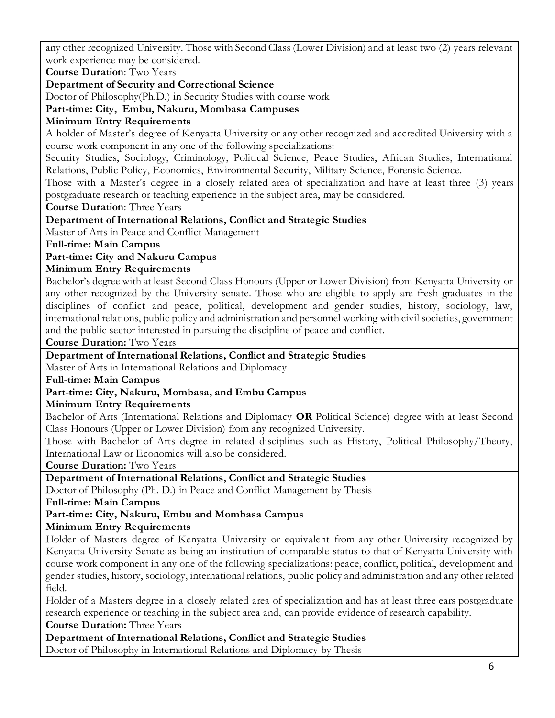any other recognized University. Those with Second Class (Lower Division) and at least two (2) years relevant work experience may be considered.

**Course Duration**: Two Years

#### **Department of Security and Correctional Science**

Doctor of Philosophy(Ph.D.) in Security Studies with course work

**Part-time: City, Embu, Nakuru, Mombasa Campuses**

#### **Minimum Entry Requirements**

A holder of Master's degree of Kenyatta University or any other recognized and accredited University with a course work component in any one of the following specializations:

Security Studies, Sociology, Criminology, Political Science, Peace Studies, African Studies, International Relations, Public Policy, Economics, Environmental Security, Military Science, Forensic Science.

Those with a Master's degree in a closely related area of specialization and have at least three (3) years postgraduate research or teaching experience in the subject area, may be considered.

**Course Duration**: Three Years

#### **Department of International Relations, Conflict and Strategic Studies**

Master of Arts in Peace and Conflict Management

**Full-time: Main Campus**

#### **Part-time: City and Nakuru Campus**

#### **Minimum Entry Requirements**

Bachelor's degree with at least Second Class Honours (Upper or Lower Division) from Kenyatta University or any other recognized by the University senate. Those who are eligible to apply are fresh graduates in the disciplines of conflict and peace, political, development and gender studies, history, sociology, law, international relations, public policy and administration and personnel working with civil societies, government and the public sector interested in pursuing the discipline of peace and conflict.

**Course Duration:** Two Years

#### **Department of International Relations, Conflict and Strategic Studies**

Master of Arts in International Relations and Diplomacy

#### **Full-time: Main Campus**

#### **Part-time: City, Nakuru, Mombasa, and Embu Campus**

#### **Minimum Entry Requirements**

Bachelor of Arts (International Relations and Diplomacy **OR** Political Science) degree with at least Second Class Honours (Upper or Lower Division) from any recognized University.

Those with Bachelor of Arts degree in related disciplines such as History, Political Philosophy/Theory, International Law or Economics will also be considered.

**Course Duration:** Two Years

#### **Department of International Relations, Conflict and Strategic Studies**

Doctor of Philosophy (Ph. D.) in Peace and Conflict Management by Thesis

**Full-time: Main Campus**

#### **Part-time: City, Nakuru, Embu and Mombasa Campus**

#### **Minimum Entry Requirements**

Holder of Masters degree of Kenyatta University or equivalent from any other University recognized by Kenyatta University Senate as being an institution of comparable status to that of Kenyatta University with course work component in any one of the following specializations: peace, conflict, political, development and gender studies, history, sociology, international relations, public policy and administration and any other related field.

Holder of a Masters degree in a closely related area of specialization and has at least three ears postgraduate research experience or teaching in the subject area and, can provide evidence of research capability. **Course Duration:** Three Years

**Department of International Relations, Conflict and Strategic Studies** Doctor of Philosophy in International Relations and Diplomacy by Thesis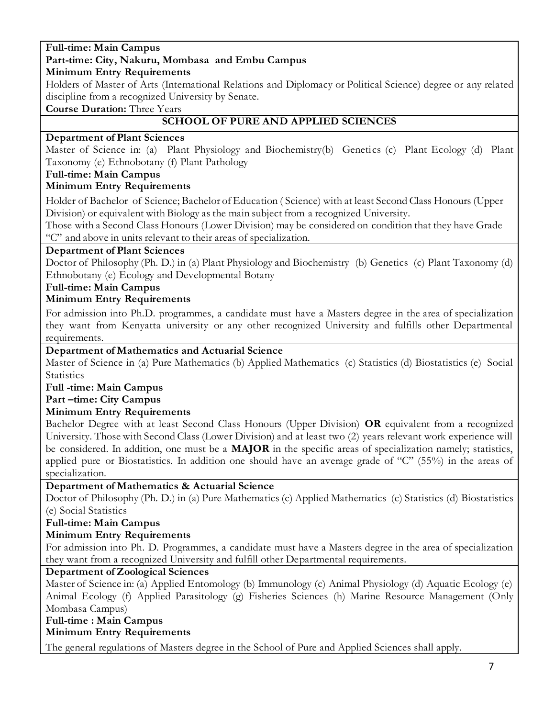#### **Full-time: Main Campus Part-time: City, Nakuru, Mombasa and Embu Campus**

# **Minimum Entry Requirements**

Holders of Master of Arts (International Relations and Diplomacy or Political Science) degree or any related discipline from a recognized University by Senate.

**Course Duration:** Three Years

# **SCHOOL OF PURE AND APPLIED SCIENCES**

# **Department of Plant Sciences**

Master of Science in: (a) Plant Physiology and Biochemistry(b) Genetics (c) Plant Ecology (d) Plant Taxonomy (e) Ethnobotany (f) Plant Pathology

# **Full-time: Main Campus**

# **Minimum Entry Requirements**

Holder of Bachelor of Science; Bachelor of Education ( Science) with at least Second Class Honours (Upper Division) or equivalent with Biology as the main subject from a recognized University.

Those with a Second Class Honours (Lower Division) may be considered on condition that they have Grade "C" and above in units relevant to their areas of specialization.

# **Department of Plant Sciences**

Doctor of Philosophy (Ph. D.) in (a) Plant Physiology and Biochemistry (b) Genetics (c) Plant Taxonomy (d) Ethnobotany (e) Ecology and Developmental Botany

# **Full-time: Main Campus**

# **Minimum Entry Requirements**

For admission into Ph.D. programmes, a candidate must have a Masters degree in the area of specialization they want from Kenyatta university or any other recognized University and fulfills other Departmental requirements.

# **Department of Mathematics and Actuarial Science**

Master of Science in (a) Pure Mathematics (b) Applied Mathematics (c) Statistics (d) Biostatistics (e) Social **Statistics** 

#### **Full -time: Main Campus**

**Part –time: City Campus**

# **Minimum Entry Requirements**

Bachelor Degree with at least Second Class Honours (Upper Division) **OR** equivalent from a recognized University. Those with Second Class (Lower Division) and at least two (2) years relevant work experience will be considered. In addition, one must be a **MAJOR** in the specific areas of specialization namely; statistics, applied pure or Biostatistics. In addition one should have an average grade of "C" (55%) in the areas of specialization.

# **Department of Mathematics & Actuarial Science**

Doctor of Philosophy (Ph. D.) in (a) Pure Mathematics (c) Applied Mathematics (c) Statistics (d) Biostatistics (e) Social Statistics

# **Full-time: Main Campus**

# **Minimum Entry Requirements**

For admission into Ph. D. Programmes, a candidate must have a Masters degree in the area of specialization they want from a recognized University and fulfill other Departmental requirements.

# **Department of Zoological Sciences**

Master of Science in: (a) Applied Entomology (b) Immunology (c) Animal Physiology (d) Aquatic Ecology (e) Animal Ecology (f) Applied Parasitology (g) Fisheries Sciences (h) Marine Resource Management (Only Mombasa Campus)

#### **Full-time : Main Campus Minimum Entry Requirements**

The general regulations of Masters degree in the School of Pure and Applied Sciences shall apply.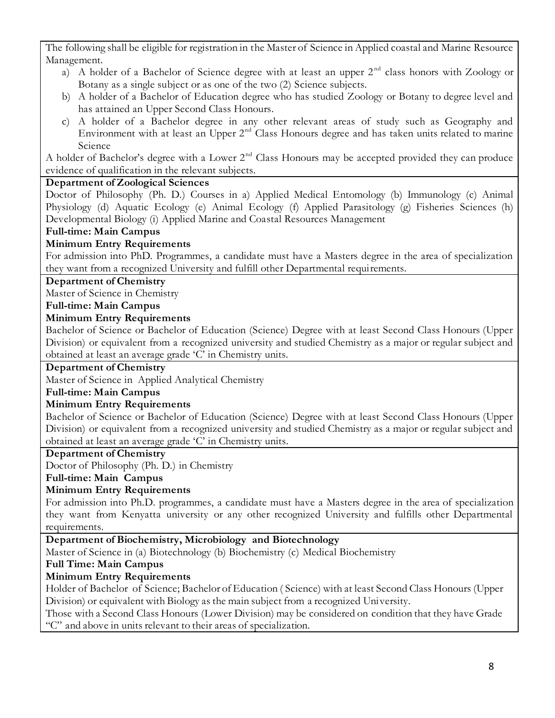The following shall be eligible for registration in the Master of Science in Applied coastal and Marine Resource Management.

- a) A holder of a Bachelor of Science degree with at least an upper  $2<sup>nd</sup>$  class honors with Zoology or Botany as a single subject or as one of the two (2) Science subjects.
- b) A holder of a Bachelor of Education degree who has studied Zoology or Botany to degree level and has attained an Upper Second Class Honours.
- c) A holder of a Bachelor degree in any other relevant areas of study such as Geography and Environment with at least an Upper 2<sup>nd</sup> Class Honours degree and has taken units related to marine Science

A holder of Bachelor's degree with a Lower  $2<sup>nd</sup>$  Class Honours may be accepted provided they can produce evidence of qualification in the relevant subjects.

# **Department of Zoological Sciences**

Doctor of Philosophy (Ph. D.) Courses in a) Applied Medical Entomology (b) Immunology (c) Animal Physiology (d) Aquatic Ecology (e) Animal Ecology (f) Applied Parasitology (g) Fisheries Sciences (h) Developmental Biology (i) Applied Marine and Coastal Resources Management

# **Full-time: Main Campus**

# **Minimum Entry Requirements**

For admission into PhD. Programmes, a candidate must have a Masters degree in the area of specialization they want from a recognized University and fulfill other Departmental requirements.

#### **Department of Chemistry**

Master of Science in Chemistry

#### **Full-time: Main Campus**

# **Minimum Entry Requirements**

Bachelor of Science or Bachelor of Education (Science) Degree with at least Second Class Honours (Upper Division) or equivalent from a recognized university and studied Chemistry as a major or regular subject and obtained at least an average grade 'C' in Chemistry units.

#### **Department of Chemistry**

Master of Science in Applied Analytical Chemistry

#### **Full-time: Main Campus**

# **Minimum Entry Requirements**

Bachelor of Science or Bachelor of Education (Science) Degree with at least Second Class Honours (Upper Division) or equivalent from a recognized university and studied Chemistry as a major or regular subject and obtained at least an average grade 'C' in Chemistry units.

#### **Department of Chemistry**

Doctor of Philosophy (Ph. D.) in Chemistry

**Full-time: Main Campus**

# **Minimum Entry Requirements**

For admission into Ph.D. programmes, a candidate must have a Masters degree in the area of specialization they want from Kenyatta university or any other recognized University and fulfills other Departmental requirements.

# **Department of Biochemistry, Microbiology and Biotechnology**

Master of Science in (a) Biotechnology (b) Biochemistry (c) Medical Biochemistry

# **Full Time: Main Campus**

# **Minimum Entry Requirements**

Holder of Bachelor of Science; Bachelor of Education ( Science) with at least Second Class Honours (Upper Division) or equivalent with Biology as the main subject from a recognized University.

Those with a Second Class Honours (Lower Division) may be considered on condition that they have Grade "C" and above in units relevant to their areas of specialization.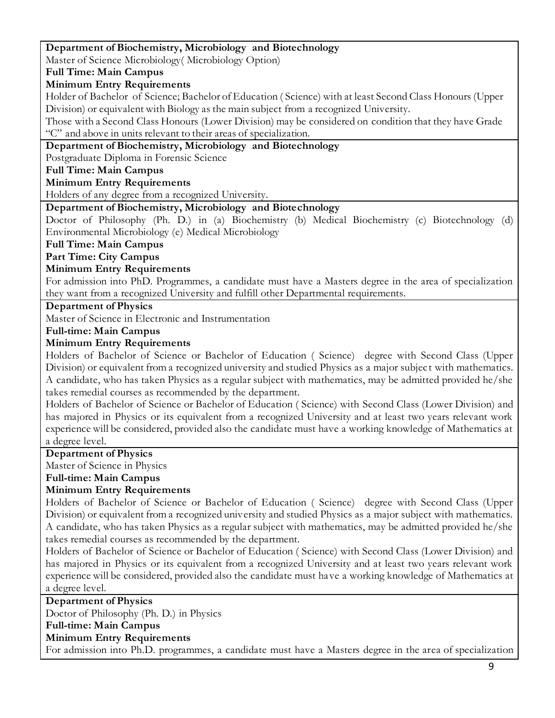#### **Department of Biochemistry, Microbiology and Biotechnology**  Master of Science Microbiology( Microbiology Option) **Full Time: Main Campus Minimum Entry Requirements** Holder of Bachelor of Science; Bachelor of Education ( Science) with at least Second Class Honours (Upper Division) or equivalent with Biology as the main subject from a recognized University. Those with a Second Class Honours (Lower Division) may be considered on condition that they have Grade "C" and above in units relevant to their areas of specialization. **Department of Biochemistry, Microbiology and Biotechnology**  Postgraduate Diploma in Forensic Science **Full Time: Main Campus Minimum Entry Requirements**

Holders of any degree from a recognized University.

#### **Department of Biochemistry, Microbiology and Biotechnology**

Doctor of Philosophy (Ph. D.) in (a) Biochemistry (b) Medical Biochemistry (c) Biotechnology (d) Environmental Microbiology (e) Medical Microbiology

**Full Time: Main Campus**

**Part Time: City Campus**

#### **Minimum Entry Requirements**

For admission into PhD. Programmes, a candidate must have a Masters degree in the area of specialization they want from a recognized University and fulfill other Departmental requirements.

#### **Department of Physics**

Master of Science in Electronic and Instrumentation

#### **Full-time: Main Campus**

#### **Minimum Entry Requirements**

Holders of Bachelor of Science or Bachelor of Education ( Science) degree with Second Class (Upper Division) or equivalent from a recognized university and studied Physics as a major subjec t with mathematics. A candidate, who has taken Physics as a regular subject with mathematics, may be admitted provided he/she takes remedial courses as recommended by the department.

Holders of Bachelor of Science or Bachelor of Education ( Science) with Second Class (Lower Division) and has majored in Physics or its equivalent from a recognized University and at least two years relevant work experience will be considered, provided also the candidate must have a working knowledge of Mathematics at a degree level.

#### **Department of Physics**

Master of Science in Physics

**Full-time: Main Campus**

#### **Minimum Entry Requirements**

Holders of Bachelor of Science or Bachelor of Education ( Science) degree with Second Class (Upper Division) or equivalent from a recognized university and studied Physics as a major subject with mathematics. A candidate, who has taken Physics as a regular subject with mathematics, may be admitted provided he/she takes remedial courses as recommended by the department.

Holders of Bachelor of Science or Bachelor of Education ( Science) with Second Class (Lower Division) and has majored in Physics or its equivalent from a recognized University and at least two years relevant work experience will be considered, provided also the candidate must have a working knowledge of Mathematics at a degree level.

#### **Department of Physics**

Doctor of Philosophy (Ph. D.) in Physics

#### **Full-time: Main Campus**

# **Minimum Entry Requirements**

For admission into Ph.D. programmes, a candidate must have a Masters degree in the area of specialization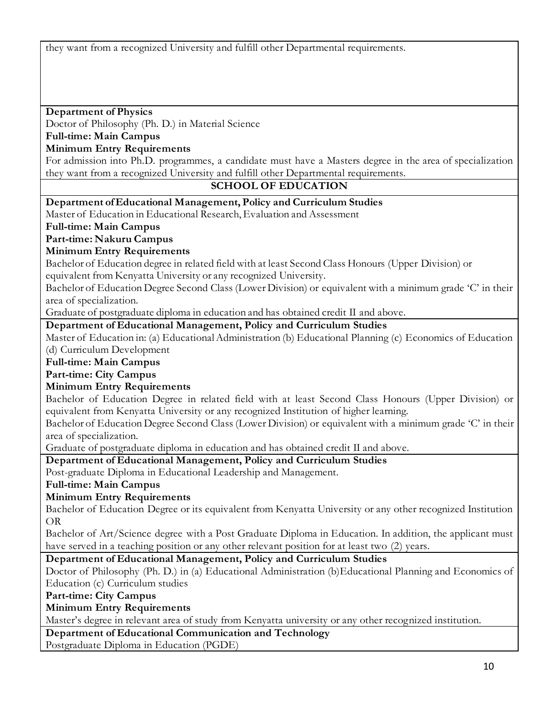they want from a recognized University and fulfill other Departmental requirements.

## **Department of Physics**

Doctor of Philosophy (Ph. D.) in Material Science

# **Full-time: Main Campus**

#### **Minimum Entry Requirements**

For admission into Ph.D. programmes, a candidate must have a Masters degree in the area of specialization they want from a recognized University and fulfill other Departmental requirements.

#### **SCHOOL OF EDUCATION**

**Department of Educational Management, Policy and Curriculum Studies**

Master of Education in Educational Research, Evaluation and Assessment

**Full-time: Main Campus**

**Part-time: Nakuru Campus**

#### **Minimum Entry Requirements**

Bachelor of Education degree in related field with at least Second Class Honours (Upper Division) or equivalent from Kenyatta University or any recognized University.

Bachelor of Education Degree Second Class (Lower Division) or equivalent with a minimum grade 'C' in their area of specialization.

Graduate of postgraduate diploma in education and has obtained credit II and above.

## **Department of Educational Management, Policy and Curriculum Studies**

Master of Education in: (a) Educational Administration (b) Educational Planning (c) Economics of Education (d) Curriculum Development

**Full-time: Main Campus**

**Part-time: City Campus**

#### **Minimum Entry Requirements**

Bachelor of Education Degree in related field with at least Second Class Honours (Upper Division) or equivalent from Kenyatta University or any recognized Institution of higher learning.

Bachelor of Education Degree Second Class (Lower Division) or equivalent with a minimum grade 'C' in their area of specialization.

Graduate of postgraduate diploma in education and has obtained credit II and above.

**Department of Educational Management, Policy and Curriculum Studies**

Post-graduate Diploma in Educational Leadership and Management.

**Full-time: Main Campus**

#### **Minimum Entry Requirements**

Bachelor of Education Degree or its equivalent from Kenyatta University or any other recognized Institution OR

Bachelor of Art/Science degree with a Post Graduate Diploma in Education. In addition, the applicant must have served in a teaching position or any other relevant position for at least two (2) years.

#### **Department of Educational Management, Policy and Curriculum Studies**

Doctor of Philosophy (Ph. D.) in (a) Educational Administration (b)Educational Planning and Economics of Education (c) Curriculum studies

**Part-time: City Campus**

#### **Minimum Entry Requirements**

Master's degree in relevant area of study from Kenyatta university or any other recognized institution.

#### **Department of Educational Communication and Technology**

Postgraduate Diploma in Education (PGDE)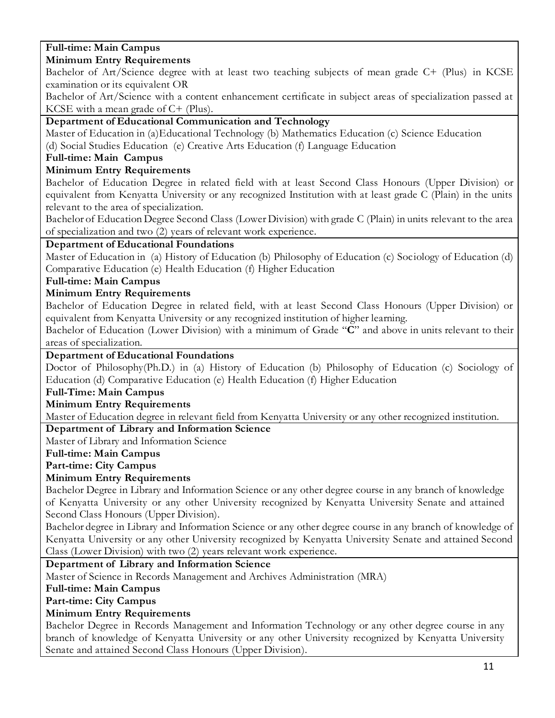#### **Full-time: Main Campus Minimum Entry Requirements**

Bachelor of Art/Science degree with at least two teaching subjects of mean grade C+ (Plus) in KCSE examination or its equivalent OR

Bachelor of Art/Science with a content enhancement certificate in subject areas of specialization passed at KCSE with a mean grade of C+ (Plus).

# **Department of Educational Communication and Technology**

Master of Education in (a)Educational Technology (b) Mathematics Education (c) Science Education (d) Social Studies Education (e) Creative Arts Education (f) Language Education

# **Full-time: Main Campus**

# **Minimum Entry Requirements**

Bachelor of Education Degree in related field with at least Second Class Honours (Upper Division) or equivalent from Kenyatta University or any recognized Institution with at least grade C (Plain) in the units relevant to the area of specialization.

Bachelor of Education Degree Second Class (Lower Division) with grade C (Plain) in units relevant to the area of specialization and two (2) years of relevant work experience.

# **Department of Educational Foundations**

Master of Education in (a) History of Education (b) Philosophy of Education (c) Sociology of Education (d) Comparative Education (e) Health Education (f) Higher Education

# **Full-time: Main Campus**

# **Minimum Entry Requirements**

Bachelor of Education Degree in related field, with at least Second Class Honours (Upper Division) or equivalent from Kenyatta University or any recognized institution of higher learning.

Bachelor of Education (Lower Division) with a minimum of Grade "**C**" and above in units relevant to their areas of specialization.

# **Department of Educational Foundations**

Doctor of Philosophy(Ph.D.) in (a) History of Education (b) Philosophy of Education (c) Sociology of Education (d) Comparative Education (e) Health Education (f) Higher Education

# **Full-Time: Main Campus**

# **Minimum Entry Requirements**

Master of Education degree in relevant field from Kenyatta University or any other recognized institution.

**Department of Library and Information Science**

Master of Library and Information Science

# **Full-time: Main Campus**

# **Part-time: City Campus**

# **Minimum Entry Requirements**

Bachelor Degree in Library and Information Science or any other degree course in any branch of knowledge of Kenyatta University or any other University recognized by Kenyatta University Senate and attained Second Class Honours (Upper Division).

Bachelor degree in Library and Information Science or any other degree course in any branch of knowledge of Kenyatta University or any other University recognized by Kenyatta University Senate and attained Second Class (Lower Division) with two (2) years relevant work experience.

# **Department of Library and Information Science**

Master of Science in Records Management and Archives Administration (MRA)

# **Full-time: Main Campus**

**Part-time: City Campus**

# **Minimum Entry Requirements**

Bachelor Degree in Records Management and Information Technology or any other degree course in any branch of knowledge of Kenyatta University or any other University recognized by Kenyatta University Senate and attained Second Class Honours (Upper Division).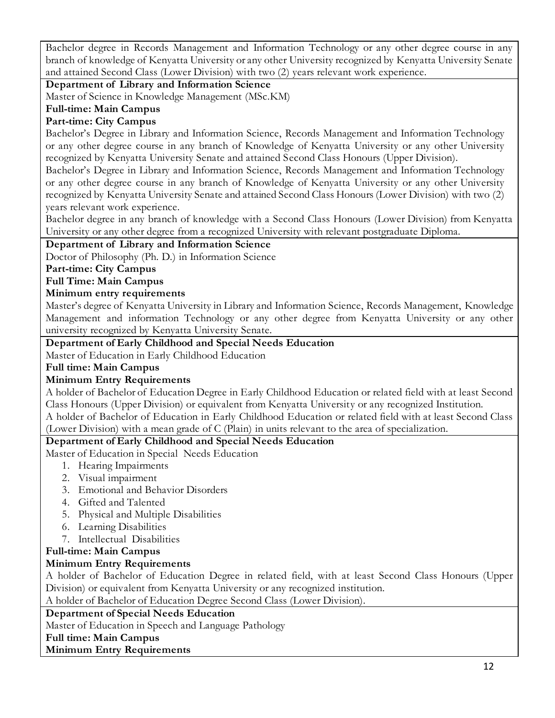Bachelor degree in Records Management and Information Technology or any other degree course in any branch of knowledge of Kenyatta University or any other University recognized by Kenyatta University Senate and attained Second Class (Lower Division) with two (2) years relevant work experience.

#### **Department of Library and Information Science**

Master of Science in Knowledge Management (MSc.KM)

#### **Full-time: Main Campus**

## **Part-time: City Campus**

Bachelor's Degree in Library and Information Science, Records Management and Information Technology or any other degree course in any branch of Knowledge of Kenyatta University or any other University recognized by Kenyatta University Senate and attained Second Class Honours (Upper Division).

Bachelor's Degree in Library and Information Science, Records Management and Information Technology or any other degree course in any branch of Knowledge of Kenyatta University or any other University recognized by Kenyatta University Senate and attained Second Class Honours (Lower Division) with two (2) years relevant work experience.

Bachelor degree in any branch of knowledge with a Second Class Honours (Lower Division) from Kenyatta University or any other degree from a recognized University with relevant postgraduate Diploma.

# **Department of Library and Information Science**

Doctor of Philosophy (Ph. D.) in Information Science

#### **Part-time: City Campus**

#### **Full Time: Main Campus**

#### **Minimum entry requirements**

Master's degree of Kenyatta University in Library and Information Science, Records Management, Knowledge Management and information Technology or any other degree from Kenyatta University or any other university recognized by Kenyatta University Senate.

#### **Department of Early Childhood and Special Needs Education**

Master of Education in Early Childhood Education

**Full time: Main Campus**

#### **Minimum Entry Requirements**

A holder of Bachelor of Education Degree in Early Childhood Education or related field with at least Second Class Honours (Upper Division) or equivalent from Kenyatta University or any recognized Institution.

A holder of Bachelor of Education in Early Childhood Education or related field with at least Second Class (Lower Division) with a mean grade of C (Plain) in units relevant to the area of specialization.

#### **Department of Early Childhood and Special Needs Education**

Master of Education in Special Needs Education

- 1. Hearing Impairments
- 2. Visual impairment
- 3. Emotional and Behavior Disorders
- 4. Gifted and Talented
- 5. Physical and Multiple Disabilities
- 6. Learning Disabilities
- 7. Intellectual Disabilities

# **Full-time: Main Campus**

# **Minimum Entry Requirements**

A holder of Bachelor of Education Degree in related field, with at least Second Class Honours (Upper Division) or equivalent from Kenyatta University or any recognized institution.

A holder of Bachelor of Education Degree Second Class (Lower Division).

#### **Department of Special Needs Education**

Master of Education in Speech and Language Pathology

#### **Full time: Main Campus**

#### **Minimum Entry Requirements**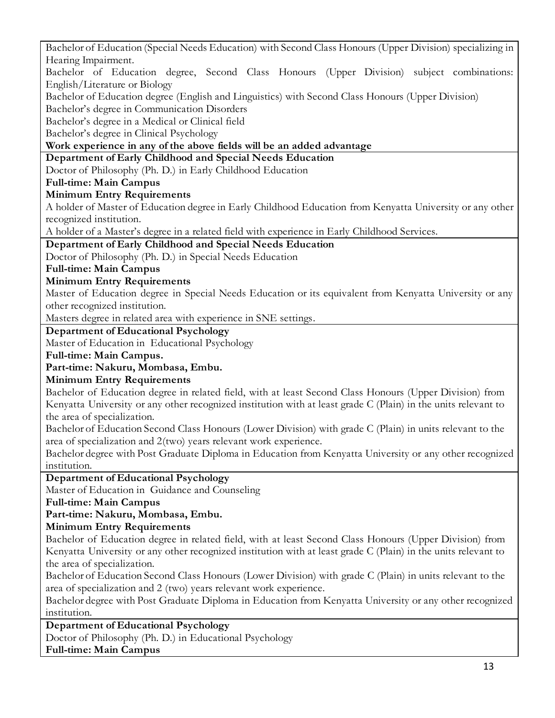13 Bachelor of Education (Special Needs Education) with Second Class Honours (Upper Division) specializing in Hearing Impairment. Bachelor of Education degree, Second Class Honours (Upper Division) subject combinations: English/Literature or Biology Bachelor of Education degree (English and Linguistics) with Second Class Honours (Upper Division) Bachelor's degree in Communication Disorders Bachelor's degree in a Medical or Clinical field Bachelor's degree in Clinical Psychology **Work experience in any of the above fields will be an added advantage Department of Early Childhood and Special Needs Education** Doctor of Philosophy (Ph. D.) in Early Childhood Education **Full-time: Main Campus Minimum Entry Requirements** A holder of Master of Education degree in Early Childhood Education from Kenyatta University or any other recognized institution. A holder of a Master's degree in a related field with experience in Early Childhood Services. **Department of Early Childhood and Special Needs Education** Doctor of Philosophy (Ph. D.) in Special Needs Education **Full-time: Main Campus Minimum Entry Requirements** Master of Education degree in Special Needs Education or its equivalent from Kenyatta University or any other recognized institution. Masters degree in related area with experience in SNE settings. **Department of Educational Psychology** Master of Education in Educational Psychology **Full-time: Main Campus. Part-time: Nakuru, Mombasa, Embu. Minimum Entry Requirements** Bachelor of Education degree in related field, with at least Second Class Honours (Upper Division) from Kenyatta University or any other recognized institution with at least grade C (Plain) in the units relevant to the area of specialization. Bachelor of Education Second Class Honours (Lower Division) with grade C (Plain) in units relevant to the area of specialization and 2(two) years relevant work experience. Bachelor degree with Post Graduate Diploma in Education from Kenyatta University or any other recognized institution. **Department of Educational Psychology** Master of Education in Guidance and Counseling **Full-time: Main Campus Part-time: Nakuru, Mombasa, Embu. Minimum Entry Requirements** Bachelor of Education degree in related field, with at least Second Class Honours (Upper Division) from Kenyatta University or any other recognized institution with at least grade C (Plain) in the units relevant to the area of specialization. Bachelor of Education Second Class Honours (Lower Division) with grade C (Plain) in units relevant to the area of specialization and 2 (two) years relevant work experience. Bachelor degree with Post Graduate Diploma in Education from Kenyatta University or any other recognized institution. **Department of Educational Psychology** Doctor of Philosophy (Ph. D.) in Educational Psychology **Full-time: Main Campus**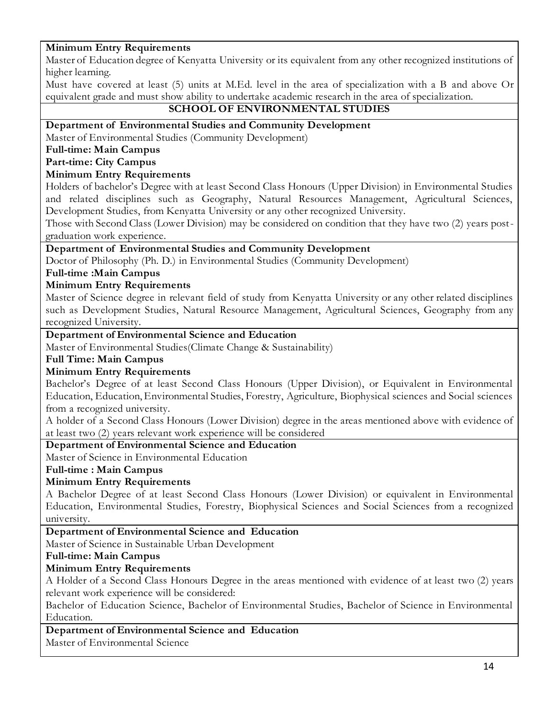#### **Minimum Entry Requirements**

Master of Education degree of Kenyatta University or its equivalent from any other recognized institutions of higher learning.

Must have covered at least (5) units at M.Ed. level in the area of specialization with a B and above Or equivalent grade and must show ability to undertake academic research in the area of specialization.

### **SCHOOL OF ENVIRONMENTAL STUDIES**

#### **Department of Environmental Studies and Community Development**

Master of Environmental Studies (Community Development)

# **Full-time: Main Campus**

## **Part-time: City Campus**

#### **Minimum Entry Requirements**

Holders of bachelor's Degree with at least Second Class Honours (Upper Division) in Environmental Studies and related disciplines such as Geography, Natural Resources Management, Agricultural Sciences, Development Studies, from Kenyatta University or any other recognized University.

Those with Second Class (Lower Division) may be considered on condition that they have two (2) years postgraduation work experience.

#### **Department of Environmental Studies and Community Development**

Doctor of Philosophy (Ph. D.) in Environmental Studies (Community Development)

#### **Full-time :Main Campus**

#### **Minimum Entry Requirements**

Master of Science degree in relevant field of study from Kenyatta University or any other related disciplines such as Development Studies, Natural Resource Management, Agricultural Sciences, Geography from any recognized University.

## **Department of Environmental Science and Education**

Master of Environmental Studies(Climate Change & Sustainability)

**Full Time: Main Campus**

#### **Minimum Entry Requirements**

Bachelor's Degree of at least Second Class Honours (Upper Division), or Equivalent in Environmental Education, Education, Environmental Studies, Forestry, Agriculture, Biophysical sciences and Social sciences from a recognized university.

A holder of a Second Class Honours (Lower Division) degree in the areas mentioned above with evidence of at least two (2) years relevant work experience will be considered

# **Department of Environmental Science and Education**

Master of Science in Environmental Education

#### **Full-time : Main Campus**

#### **Minimum Entry Requirements**

A Bachelor Degree of at least Second Class Honours (Lower Division) or equivalent in Environmental Education, Environmental Studies, Forestry, Biophysical Sciences and Social Sciences from a recognized university.

#### **Department of Environmental Science and Education**

Master of Science in Sustainable Urban Development

#### **Full-time: Main Campus**

#### **Minimum Entry Requirements**

A Holder of a Second Class Honours Degree in the areas mentioned with evidence of at least two (2) years relevant work experience will be considered:

Bachelor of Education Science, Bachelor of Environmental Studies, Bachelor of Science in Environmental Education.

#### **Department of Environmental Science and Education**

Master of Environmental Science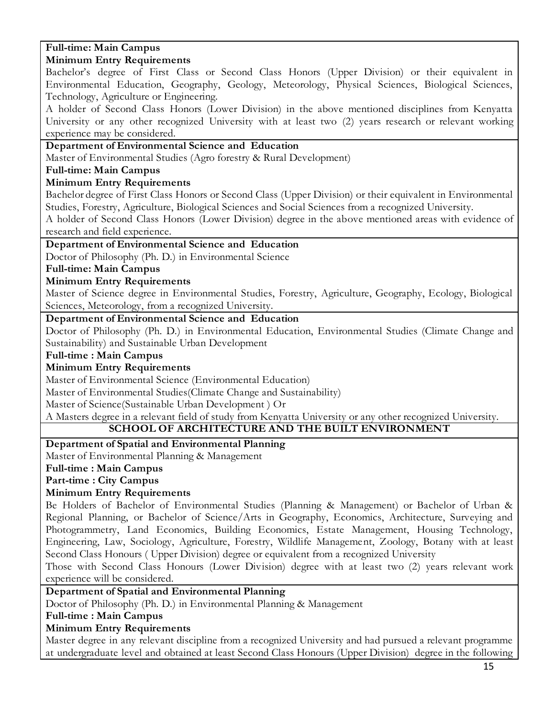#### **Full-time: Main Campus Minimum Entry Requirements**

Bachelor's degree of First Class or Second Class Honors (Upper Division) or their equivalent in Environmental Education, Geography, Geology, Meteorology, Physical Sciences, Biological Sciences, Technology, Agriculture or Engineering.

A holder of Second Class Honors (Lower Division) in the above mentioned disciplines from Kenyatta University or any other recognized University with at least two (2) years research or relevant working experience may be considered.

## **Department of Environmental Science and Education**

Master of Environmental Studies (Agro forestry & Rural Development)

# **Full-time: Main Campus**

# **Minimum Entry Requirements**

Bachelor degree of First Class Honors or Second Class (Upper Division) or their equivalent in Environmental Studies, Forestry, Agriculture, Biological Sciences and Social Sciences from a recognized University.

A holder of Second Class Honors (Lower Division) degree in the above mentioned areas with evidence of research and field experience.

# **Department of Environmental Science and Education**

Doctor of Philosophy (Ph. D.) in Environmental Science

#### **Full-time: Main Campus**

#### **Minimum Entry Requirements**

Master of Science degree in Environmental Studies, Forestry, Agriculture, Geography, Ecology, Biological Sciences, Meteorology, from a recognized University.

# **Department of Environmental Science and Education**

Doctor of Philosophy (Ph. D.) in Environmental Education, Environmental Studies (Climate Change and Sustainability) and Sustainable Urban Development

#### **Full-time : Main Campus**

# **Minimum Entry Requirements**

Master of Environmental Science (Environmental Education)

Master of Environmental Studies(Climate Change and Sustainability)

Master of Science(Sustainable Urban Development ) Or

A Masters degree in a relevant field of study from Kenyatta University or any other recognized University.

# **SCHOOL OF ARCHITECTURE AND THE BUILT ENVIRONMENT**

#### **Department of Spatial and Environmental Planning**

Master of Environmental Planning & Management

#### **Full-time : Main Campus**

**Part-time : City Campus**

# **Minimum Entry Requirements**

Be Holders of Bachelor of Environmental Studies (Planning & Management) or Bachelor of Urban & Regional Planning, or Bachelor of Science/Arts in Geography, Economics, Architecture, Surveying and Photogrammetry, Land Economics, Building Economics, Estate Management, Housing Technology, Engineering, Law, Sociology, Agriculture, Forestry, Wildlife Management, Zoology, Botany with at least Second Class Honours ( Upper Division) degree or equivalent from a recognized University

Those with Second Class Honours (Lower Division) degree with at least two (2) years relevant work experience will be considered.

# **Department of Spatial and Environmental Planning**

Doctor of Philosophy (Ph. D.) in Environmental Planning & Management

#### **Full-time : Main Campus**

# **Minimum Entry Requirements**

Master degree in any relevant discipline from a recognized University and had pursued a relevant programme at undergraduate level and obtained at least Second Class Honours (Upper Division) degree in the following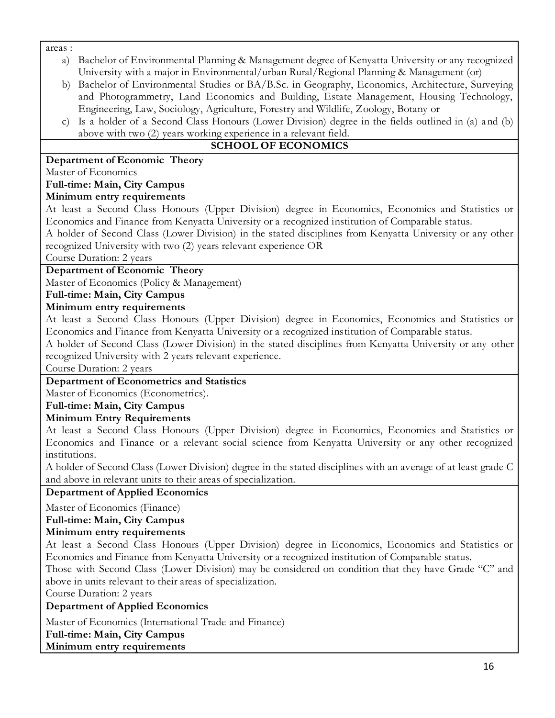areas :

- a) Bachelor of Environmental Planning & Management degree of Kenyatta University or any recognized University with a major in Environmental/urban Rural/Regional Planning & Management (or)
- b) Bachelor of Environmental Studies or BA/B.Sc. in Geography, Economics, Architecture, Surveying and Photogrammetry, Land Economics and Building, Estate Management, Housing Technology, Engineering, Law, Sociology, Agriculture, Forestry and Wildlife, Zoology, Botany or
- c) Is a holder of a Second Class Honours (Lower Division) degree in the fields outlined in (a) and (b) above with two (2) years working experience in a relevant field.

# **SCHOOL OF ECONOMICS**

# **Department of Economic Theory**

Master of Economics

# **Full-time: Main, City Campus**

# **Minimum entry requirements**

At least a Second Class Honours (Upper Division) degree in Economics, Economics and Statistics or Economics and Finance from Kenyatta University or a recognized institution of Comparable status. A holder of Second Class (Lower Division) in the stated disciplines from Kenyatta University or any other recognized University with two (2) years relevant experience OR

Course Duration: 2 years

# **Department of Economic Theory**

Master of Economics (Policy & Management)

**Full-time: Main, City Campus**

# **Minimum entry requirements**

At least a Second Class Honours (Upper Division) degree in Economics, Economics and Statistics or Economics and Finance from Kenyatta University or a recognized institution of Comparable status.

A holder of Second Class (Lower Division) in the stated disciplines from Kenyatta University or any other recognized University with 2 years relevant experience.

Course Duration: 2 years

#### **Department of Econometrics and Statistics**

Master of Economics (Econometrics).

# **Full-time: Main, City Campus**

#### **Minimum Entry Requirements**

At least a Second Class Honours (Upper Division) degree in Economics, Economics and Statistics or Economics and Finance or a relevant social science from Kenyatta University or any other recognized institutions.

A holder of Second Class (Lower Division) degree in the stated disciplines with an average of at least grade C and above in relevant units to their areas of specialization.

#### **Department of Applied Economics**

Master of Economics (Finance)

# **Full-time: Main, City Campus**

# **Minimum entry requirements**

At least a Second Class Honours (Upper Division) degree in Economics, Economics and Statistics or Economics and Finance from Kenyatta University or a recognized institution of Comparable status.

Those with Second Class (Lower Division) may be considered on condition that they have Grade "C" and above in units relevant to their areas of specialization.

Course Duration: 2 years

#### **Department of Applied Economics**

Master of Economics (International Trade and Finance)

**Full-time: Main, City Campus**

**Minimum entry requirements**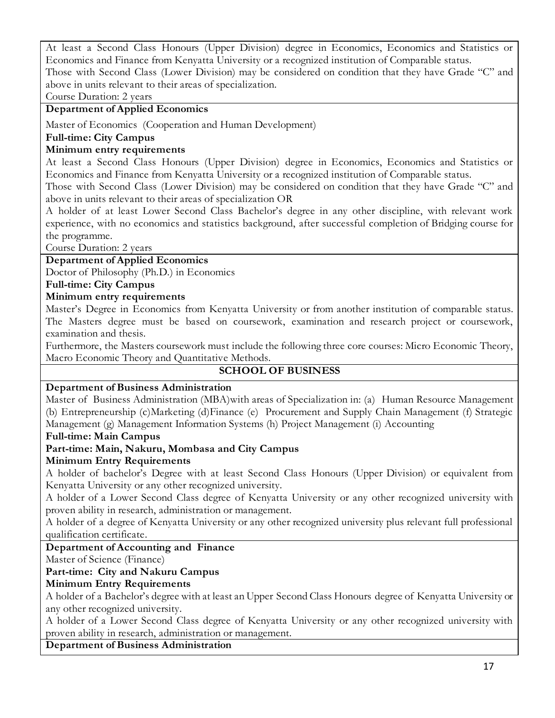At least a Second Class Honours (Upper Division) degree in Economics, Economics and Statistics or Economics and Finance from Kenyatta University or a recognized institution of Comparable status. Those with Second Class (Lower Division) may be considered on condition that they have Grade "C" and

above in units relevant to their areas of specialization.

Course Duration: 2 years

# **Department of Applied Economics**

Master of Economics (Cooperation and Human Development)

# **Full-time: City Campus**

## **Minimum entry requirements**

At least a Second Class Honours (Upper Division) degree in Economics, Economics and Statistics or Economics and Finance from Kenyatta University or a recognized institution of Comparable status.

Those with Second Class (Lower Division) may be considered on condition that they have Grade "C" and above in units relevant to their areas of specialization OR

A holder of at least Lower Second Class Bachelor's degree in any other discipline, with relevant work experience, with no economics and statistics background, after successful completion of Bridging course for the programme.

Course Duration: 2 years

# **Department of Applied Economics**

Doctor of Philosophy (Ph.D.) in Economics

# **Full-time: City Campus**

# **Minimum entry requirements**

Master's Degree in Economics from Kenyatta University or from another institution of comparable status. The Masters degree must be based on coursework, examination and research project or coursework, examination and thesis.

Furthermore, the Masters coursework must include the following three core courses: Micro Economic Theory, Macro Economic Theory and Quantitative Methods.

# **SCHOOL OF BUSINESS**

#### **Department of Business Administration**

Master of Business Administration (MBA)with areas of Specialization in: (a) Human Resource Management (b) Entrepreneurship (c)Marketing (d)Finance (e) Procurement and Supply Chain Management (f) Strategic Management (g) Management Information Systems (h) Project Management (i) Accounting

#### **Full-time: Main Campus**

# **Part-time: Main, Nakuru, Mombasa and City Campus**

#### **Minimum Entry Requirements**

A holder of bachelor's Degree with at least Second Class Honours (Upper Division) or equivalent from Kenyatta University or any other recognized university.

A holder of a Lower Second Class degree of Kenyatta University or any other recognized university with proven ability in research, administration or management.

A holder of a degree of Kenyatta University or any other recognized university plus relevant full professional qualification certificate.

# **Department of Accounting and Finance**

Master of Science (Finance)

# **Part-time: City and Nakuru Campus**

# **Minimum Entry Requirements**

A holder of a Bachelor's degree with at least an Upper Second Class Honours degree of Kenyatta University or any other recognized university.

A holder of a Lower Second Class degree of Kenyatta University or any other recognized university with proven ability in research, administration or management.

#### **Department of Business Administration**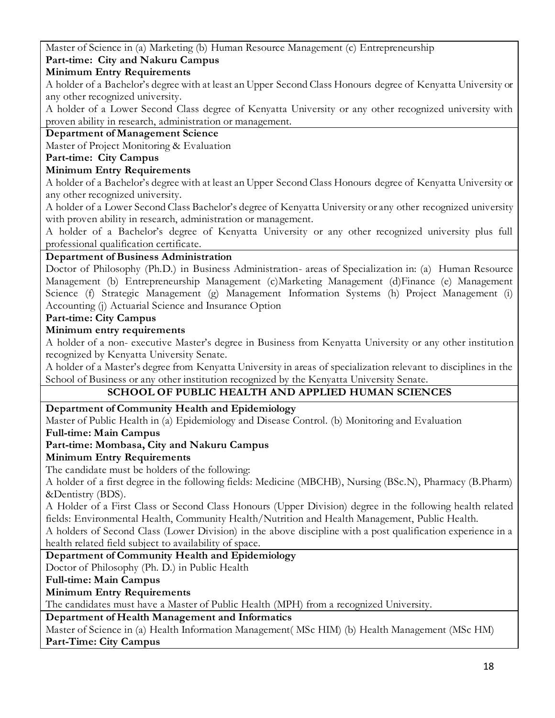Master of Science in (a) Marketing (b) Human Resource Management (c) Entrepreneurship **Part-time: City and Nakuru Campus**

# **Minimum Entry Requirements**

A holder of a Bachelor's degree with at least an Upper Second Class Honours degree of Kenyatta University or any other recognized university.

A holder of a Lower Second Class degree of Kenyatta University or any other recognized university with proven ability in research, administration or management.

#### **Department of Management Science**

Master of Project Monitoring & Evaluation

#### **Part-time: City Campus**

#### **Minimum Entry Requirements**

A holder of a Bachelor's degree with at least an Upper Second Class Honours degree of Kenyatta University or any other recognized university.

A holder of a Lower Second Class Bachelor's degree of Kenyatta University or any other recognized university with proven ability in research, administration or management.

A holder of a Bachelor's degree of Kenyatta University or any other recognized university plus full professional qualification certificate.

#### **Department of Business Administration**

Doctor of Philosophy (Ph.D.) in Business Administration- areas of Specialization in: (a) Human Resource Management (b) Entrepreneurship Management (c)Marketing Management (d)Finance (e) Management Science (f) Strategic Management (g) Management Information Systems (h) Project Management (i) Accounting (j) Actuarial Science and Insurance Option

#### **Part-time: City Campus**

#### **Minimum entry requirements**

A holder of a non- executive Master's degree in Business from Kenyatta University or any other institution recognized by Kenyatta University Senate.

A holder of a Master's degree from Kenyatta University in areas of specialization relevant to disciplines in the School of Business or any other institution recognized by the Kenyatta University Senate.

#### **SCHOOL OF PUBLIC HEALTH AND APPLIED HUMAN SCIENCES**

#### **Department of Community Health and Epidemiology**

Master of Public Health in (a) Epidemiology and Disease Control. (b) Monitoring and Evaluation

#### **Full-time: Main Campus**

#### **Part-time: Mombasa, City and Nakuru Campus**

#### **Minimum Entry Requirements**

The candidate must be holders of the following:

A holder of a first degree in the following fields: Medicine (MBCHB), Nursing (BSc.N), Pharmacy (B.Pharm) &Dentistry (BDS).

A Holder of a First Class or Second Class Honours (Upper Division) degree in the following health related fields: Environmental Health, Community Health/Nutrition and Health Management, Public Health.

A holders of Second Class (Lower Division) in the above discipline with a post qualification experience in a health related field subject to availability of space.

#### **Department of Community Health and Epidemiology**

Doctor of Philosophy (Ph. D.) in Public Health

**Full-time: Main Campus**

#### **Minimum Entry Requirements**

The candidates must have a Master of Public Health (MPH) from a recognized University.

#### **Department of Health Management and Informatics**

Master of Science in (a) Health Information Management( MSc HIM) (b) Health Management (MSc HM) **Part-Time: City Campus**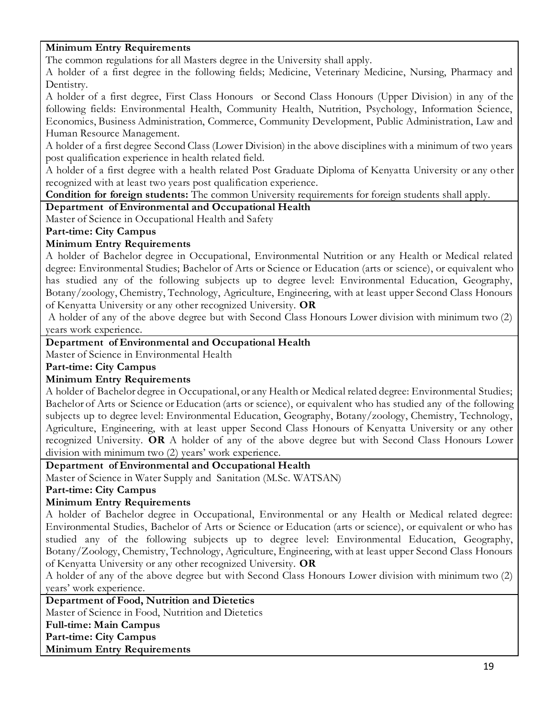#### **Minimum Entry Requirements**

The common regulations for all Masters degree in the University shall apply.

A holder of a first degree in the following fields; Medicine, Veterinary Medicine, Nursing, Pharmacy and Dentistry.

A holder of a first degree, First Class Honours or Second Class Honours (Upper Division) in any of the following fields: Environmental Health, Community Health, Nutrition, Psychology, Information Science, Economics, Business Administration, Commerce, Community Development, Public Administration, Law and Human Resource Management.

A holder of a first degree Second Class (Lower Division) in the above disciplines with a minimum of two years post qualification experience in health related field.

A holder of a first degree with a health related Post Graduate Diploma of Kenyatta University or any other recognized with at least two years post qualification experience.

#### **Condition for foreign students:** The common University requirements for foreign students shall apply.

**Department of Environmental and Occupational Health**

Master of Science in Occupational Health and Safety

#### **Part-time: City Campus**

#### **Minimum Entry Requirements**

A holder of Bachelor degree in Occupational, Environmental Nutrition or any Health or Medical related degree: Environmental Studies; Bachelor of Arts or Science or Education (arts or science), or equivalent who has studied any of the following subjects up to degree level: Environmental Education, Geography, Botany/zoology, Chemistry, Technology, Agriculture, Engineering, with at least upper Second Class Honours of Kenyatta University or any other recognized University. **OR**

A holder of any of the above degree but with Second Class Honours Lower division with minimum two (2) years work experience.

#### **Department of Environmental and Occupational Health**

Master of Science in Environmental Health

**Part-time: City Campus**

#### **Minimum Entry Requirements**

A holder of Bachelor degree in Occupational, or any Health or Medical related degree: Environmental Studies; Bachelor of Arts or Science or Education (arts or science), or equivalent who has studied any of the following subjects up to degree level: Environmental Education, Geography, Botany/zoology, Chemistry, Technology, Agriculture, Engineering, with at least upper Second Class Honours of Kenyatta University or any other recognized University. **OR** A holder of any of the above degree but with Second Class Honours Lower division with minimum two (2) years' work experience.

#### **Department of Environmental and Occupational Health**

Master of Science in Water Supply and Sanitation (M.Sc. WATSAN)

**Part-time: City Campus**

#### **Minimum Entry Requirements**

A holder of Bachelor degree in Occupational, Environmental or any Health or Medical related degree: Environmental Studies, Bachelor of Arts or Science or Education (arts or science), or equivalent or who has studied any of the following subjects up to degree level: Environmental Education, Geography, Botany/Zoology, Chemistry, Technology, Agriculture, Engineering, with at least upper Second Class Honours of Kenyatta University or any other recognized University. **OR**

A holder of any of the above degree but with Second Class Honours Lower division with minimum two (2) years' work experience.

**Department of Food, Nutrition and Dietetics** 

Master of Science in Food, Nutrition and Dietetics

**Full-time: Main Campus**

**Part-time: City Campus**

**Minimum Entry Requirements**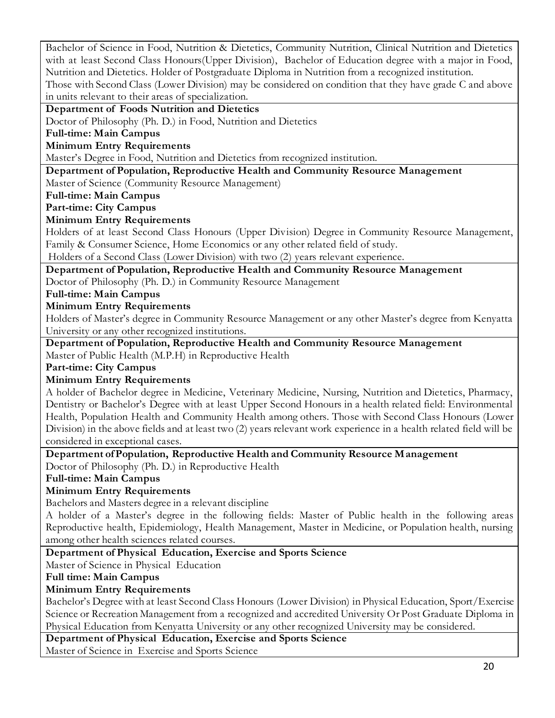Bachelor of Science in Food, Nutrition & Dietetics, Community Nutrition, Clinical Nutrition and Dietetics with at least Second Class Honours(Upper Division), Bachelor of Education degree with a major in Food, Nutrition and Dietetics. Holder of Postgraduate Diploma in Nutrition from a recognized institution. Those with Second Class (Lower Division) may be considered on condition that they have grade C and above in units relevant to their areas of specialization.

**Department of Foods Nutrition and Dietetics**

Doctor of Philosophy (Ph. D.) in Food, Nutrition and Dietetics

**Full-time: Main Campus**

**Minimum Entry Requirements**

Master's Degree in Food, Nutrition and Dietetics from recognized institution.

#### **Department of Population, Reproductive Health and Community Resource Management**

Master of Science (Community Resource Management)

**Full-time: Main Campus**

**Part-time: City Campus**

#### **Minimum Entry Requirements**

Holders of at least Second Class Honours (Upper Division) Degree in Community Resource Management, Family & Consumer Science, Home Economics or any other related field of study.

Holders of a Second Class (Lower Division) with two (2) years relevant experience.

**Department of Population, Reproductive Health and Community Resource Management** 

Doctor of Philosophy (Ph. D.) in Community Resource Management

**Full-time: Main Campus**

#### **Minimum Entry Requirements**

Holders of Master's degree in Community Resource Management or any other Master's degree from Kenyatta University or any other recognized institutions.

**Department of Population, Reproductive Health and Community Resource Management** 

Master of Public Health (M.P.H) in Reproductive Health

**Part-time: City Campus**

#### **Minimum Entry Requirements**

A holder of Bachelor degree in Medicine, Veterinary Medicine, Nursing, Nutrition and Dietetics, Pharmacy, Dentistry or Bachelor's Degree with at least Upper Second Honours in a health related field: Environmental Health, Population Health and Community Health among others. Those with Second Class Honours (Lower Division) in the above fields and at least two (2) years relevant work experience in a health related field will be considered in exceptional cases.

#### **Department of Population, Reproductive Health and Community Resource Management**

Doctor of Philosophy (Ph. D.) in Reproductive Health

**Full-time: Main Campus**

#### **Minimum Entry Requirements**

Bachelors and Masters degree in a relevant discipline

A holder of a Master's degree in the following fields: Master of Public health in the following areas Reproductive health, Epidemiology, Health Management, Master in Medicine, or Population health, nursing among other health sciences related courses.

#### **Department of Physical Education, Exercise and Sports Science**

Master of Science in Physical Education

**Full time: Main Campus**

#### **Minimum Entry Requirements**

Bachelor's Degree with at least Second Class Honours (Lower Division) in Physical Education, Sport/Exercise Science or Recreation Management from a recognized and accredited University Or Post Graduate Diploma in Physical Education from Kenyatta University or any other recognized University may be considered.

#### **Department of Physical Education, Exercise and Sports Science**

Master of Science in Exercise and Sports Science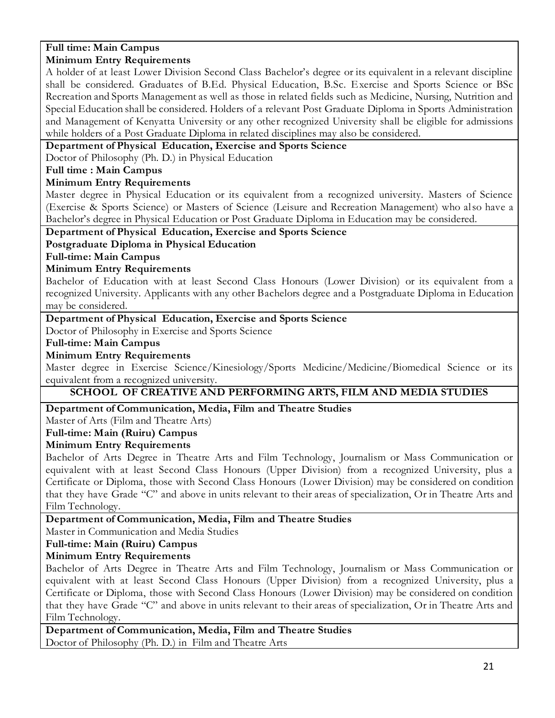#### **Full time: Main Campus Minimum Entry Requirements**

A holder of at least Lower Division Second Class Bachelor's degree or its equivalent in a relevant discipline shall be considered. Graduates of B.Ed. Physical Education, B.Sc. Exercise and Sports Science or BSc Recreation and Sports Management as well as those in related fields such as Medicine, Nursing, Nutrition and Special Education shall be considered. Holders of a relevant Post Graduate Diploma in Sports Administration and Management of Kenyatta University or any other recognized University shall be eligible for admissions while holders of a Post Graduate Diploma in related disciplines may also be considered.

#### **Department of Physical Education, Exercise and Sports Science**

Doctor of Philosophy (Ph. D.) in Physical Education

#### **Full time : Main Campus**

#### **Minimum Entry Requirements**

Master degree in Physical Education or its equivalent from a recognized university. Masters of Science (Exercise & Sports Science) or Masters of Science (Leisure and Recreation Management) who also have a Bachelor's degree in Physical Education or Post Graduate Diploma in Education may be considered.

#### **Department of Physical Education, Exercise and Sports Science**

#### **Postgraduate Diploma in Physical Education**

**Full-time: Main Campus**

#### **Minimum Entry Requirements**

Bachelor of Education with at least Second Class Honours (Lower Division) or its equivalent from a recognized University. Applicants with any other Bachelors degree and a Postgraduate Diploma in Education may be considered.

#### **Department of Physical Education, Exercise and Sports Science**

Doctor of Philosophy in Exercise and Sports Science

#### **Full-time: Main Campus**

#### **Minimum Entry Requirements**

Master degree in Exercise Science/Kinesiology/Sports Medicine/Medicine/Biomedical Science or its equivalent from a recognized university.

#### **SCHOOL OF CREATIVE AND PERFORMING ARTS, FILM AND MEDIA STUDIES**

#### **Department of Communication, Media, Film and Theatre Studies**

Master of Arts (Film and Theatre Arts)

# **Full-time: Main (Ruiru) Campus**

# **Minimum Entry Requirements**

Bachelor of Arts Degree in Theatre Arts and Film Technology, Journalism or Mass Communication or equivalent with at least Second Class Honours (Upper Division) from a recognized University, plus a Certificate or Diploma, those with Second Class Honours (Lower Division) may be considered on condition that they have Grade "C" and above in units relevant to their areas of specialization, Or in Theatre Arts and Film Technology.

#### **Department of Communication, Media, Film and Theatre Studies**

Master in Communication and Media Studies

#### **Full-time: Main (Ruiru) Campus**

#### **Minimum Entry Requirements**

Bachelor of Arts Degree in Theatre Arts and Film Technology, Journalism or Mass Communication or equivalent with at least Second Class Honours (Upper Division) from a recognized University, plus a Certificate or Diploma, those with Second Class Honours (Lower Division) may be considered on condition that they have Grade "C" and above in units relevant to their areas of specialization, Or in Theatre Arts and Film Technology.

**Department of Communication, Media, Film and Theatre Studies** Doctor of Philosophy (Ph. D.) in Film and Theatre Arts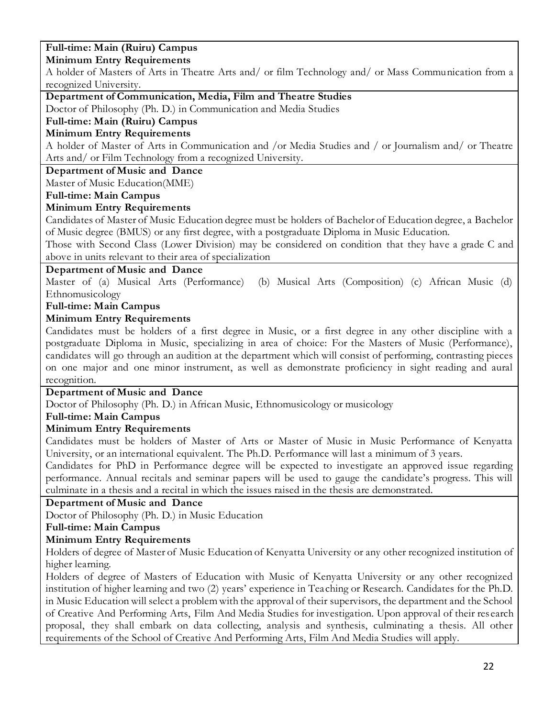# **Full-time: Main (Ruiru) Campus**

#### **Minimum Entry Requirements**

A holder of Masters of Arts in Theatre Arts and/ or film Technology and/ or Mass Communication from a recognized University.

# **Department of Communication, Media, Film and Theatre Studies**

Doctor of Philosophy (Ph. D.) in Communication and Media Studies

#### **Full-time: Main (Ruiru) Campus**

#### **Minimum Entry Requirements**

A holder of Master of Arts in Communication and /or Media Studies and / or Journalism and/ or Theatre Arts and/ or Film Technology from a recognized University.

#### **Department of Music and Dance**

Master of Music Education(MME)

#### **Full-time: Main Campus**

#### **Minimum Entry Requirements**

Candidates of Master of Music Education degree must be holders of Bachelor of Education degree, a Bachelor of Music degree (BMUS) or any first degree, with a postgraduate Diploma in Music Education.

Those with Second Class (Lower Division) may be considered on condition that they have a grade C and above in units relevant to their area of specialization

**Department of Music and Dance**<br>Master of (a) Musical Arts (Performance) (b) Musical Arts (Composition) (c) African Music (d) Ethnomusicology

#### **Full-time: Main Campus**

#### **Minimum Entry Requirements**

Candidates must be holders of a first degree in Music, or a first degree in any other discipline with a postgraduate Diploma in Music, specializing in area of choice: For the Masters of Music (Performance), candidates will go through an audition at the department which will consist of performing, contrasting pieces on one major and one minor instrument, as well as demonstrate proficiency in sight reading and aural recognition.

#### **Department of Music and Dance**

Doctor of Philosophy (Ph. D.) in African Music, Ethnomusicology or musicology

#### **Full-time: Main Campus**

#### **Minimum Entry Requirements**

Candidates must be holders of Master of Arts or Master of Music in Music Performance of Kenyatta University, or an international equivalent. The Ph.D. Performance will last a minimum of 3 years.

Candidates for PhD in Performance degree will be expected to investigate an approved issue regarding performance. Annual recitals and seminar papers will be used to gauge the candidate's progress. This will culminate in a thesis and a recital in which the issues raised in the thesis are demonstrated.

#### **Department of Music and Dance**

Doctor of Philosophy (Ph. D.) in Music Education

# **Full-time: Main Campus**

#### **Minimum Entry Requirements**

Holders of degree of Master of Music Education of Kenyatta University or any other recognized institution of higher learning.

Holders of degree of Masters of Education with Music of Kenyatta University or any other recognized institution of higher learning and two (2) years' experience in Teaching or Research. Candidates for the Ph.D. in Music Education will select a problem with the approval of their supervisors, the department and the School of Creative And Performing Arts, Film And Media Studies for investigation. Upon approval of their research proposal, they shall embark on data collecting, analysis and synthesis, culminating a thesis. All other requirements of the School of Creative And Performing Arts, Film And Media Studies will apply.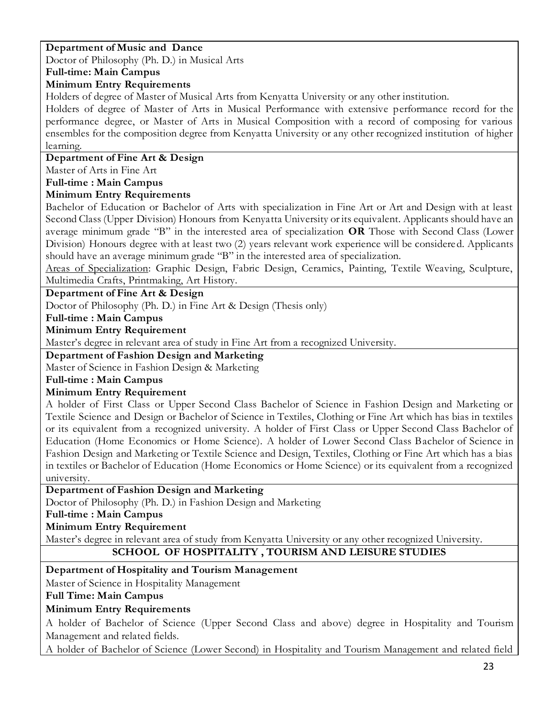# **Department of Music and Dance**

Doctor of Philosophy (Ph. D.) in Musical Arts

# **Full-time: Main Campus**

# **Minimum Entry Requirements**

Holders of degree of Master of Musical Arts from Kenyatta University or any other institution.

Holders of degree of Master of Arts in Musical Performance with extensive performance record for the performance degree, or Master of Arts in Musical Composition with a record of composing for various ensembles for the composition degree from Kenyatta University or any other recognized institution of higher learning.

# **Department of Fine Art & Design**

Master of Arts in Fine Art

**Full-time : Main Campus**

# **Minimum Entry Requirements**

Bachelor of Education or Bachelor of Arts with specialization in Fine Art or Art and Design with at least Second Class (Upper Division) Honours from Kenyatta University or its equivalent. Applicants should have an average minimum grade "B" in the interested area of specialization **OR** Those with Second Class (Lower Division) Honours degree with at least two (2) years relevant work experience will be considered. Applicants should have an average minimum grade "B" in the interested area of specialization.

Areas of Specialization: Graphic Design, Fabric Design, Ceramics, Painting, Textile Weaving, Sculpture, Multimedia Crafts, Printmaking, Art History.

# **Department of Fine Art & Design**

Doctor of Philosophy (Ph. D.) in Fine Art & Design (Thesis only)

#### **Full-time : Main Campus**

#### **Minimum Entry Requirement**

Master's degree in relevant area of study in Fine Art from a recognized University.

# **Department of Fashion Design and Marketing**

Master of Science in Fashion Design & Marketing

#### **Full-time : Main Campus**

# **Minimum Entry Requirement**

A holder of First Class or Upper Second Class Bachelor of Science in Fashion Design and Marketing or Textile Science and Design or Bachelor of Science in Textiles, Clothing or Fine Art which has bias in textiles or its equivalent from a recognized university. A holder of First Class or Upper Second Class Bachelor of Education (Home Economics or Home Science). A holder of Lower Second Class Bachelor of Science in Fashion Design and Marketing or Textile Science and Design, Textiles, Clothing or Fine Art which has a bias in textiles or Bachelor of Education (Home Economics or Home Science) or its equivalent from a recognized university.

# **Department of Fashion Design and Marketing**

Doctor of Philosophy (Ph. D.) in Fashion Design and Marketing

**Full-time : Main Campus**

# **Minimum Entry Requirement**

Master's degree in relevant area of study from Kenyatta University or any other recognized University.

# **SCHOOL OF HOSPITALITY , TOURISM AND LEISURE STUDIES**

# **Department of Hospitality and Tourism Management**

Master of Science in Hospitality Management

**Full Time: Main Campus**

# **Minimum Entry Requirements**

A holder of Bachelor of Science (Upper Second Class and above) degree in Hospitality and Tourism Management and related fields.

A holder of Bachelor of Science (Lower Second) in Hospitality and Tourism Management and related field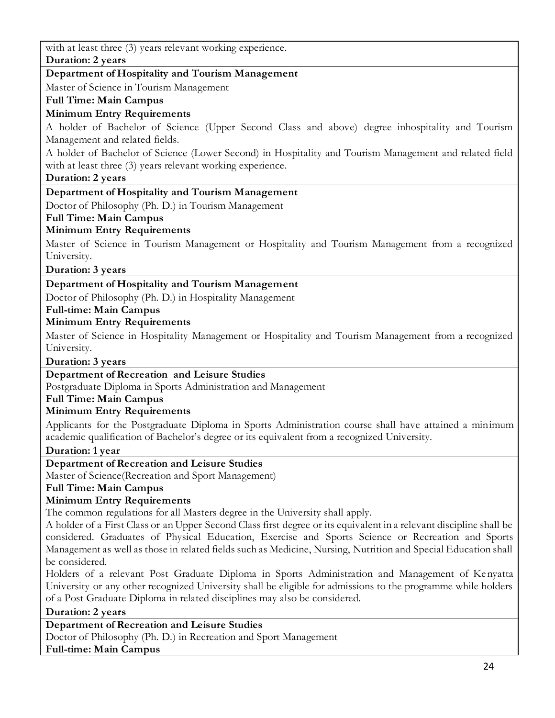with at least three (3) years relevant working experience.

**Duration: 2 years**

# **Department of Hospitality and Tourism Management**

Master of Science in Tourism Management

**Full Time: Main Campus**

# **Minimum Entry Requirements**

A holder of Bachelor of Science (Upper Second Class and above) degree inhospitality and Tourism Management and related fields.

A holder of Bachelor of Science (Lower Second) in Hospitality and Tourism Management and related field with at least three (3) years relevant working experience.

#### **Duration: 2 years**

# **Department of Hospitality and Tourism Management**

Doctor of Philosophy (Ph. D.) in Tourism Management

#### **Full Time: Main Campus**

# **Minimum Entry Requirements**

Master of Science in Tourism Management or Hospitality and Tourism Management from a recognized University.

**Duration: 3 years**

# **Department of Hospitality and Tourism Management**

Doctor of Philosophy (Ph. D.) in Hospitality Management

**Full-time: Main Campus**

# **Minimum Entry Requirements**

Master of Science in Hospitality Management or Hospitality and Tourism Management from a recognized University.

**Duration: 3 years**

# **Department of Recreation and Leisure Studies**

Postgraduate Diploma in Sports Administration and Management

**Full Time: Main Campus**

# **Minimum Entry Requirements**

Applicants for the Postgraduate Diploma in Sports Administration course shall have attained a minimum academic qualification of Bachelor's degree or its equivalent from a recognized University.

#### **Duration: 1 year**

# **Department of Recreation and Leisure Studies**

Master of Science(Recreation and Sport Management)

# **Full Time: Main Campus**

# **Minimum Entry Requirements**

The common regulations for all Masters degree in the University shall apply.

A holder of a First Class or an Upper Second Class first degree or its equivalent in a relevant discipline shall be considered. Graduates of Physical Education, Exercise and Sports Science or Recreation and Sports Management as well as those in related fields such as Medicine, Nursing, Nutrition and Special Education shall be considered.

Holders of a relevant Post Graduate Diploma in Sports Administration and Management of Kenyatta University or any other recognized University shall be eligible for admissions to the programme while holders of a Post Graduate Diploma in related disciplines may also be considered.

#### **Duration: 2 years**

# **Department of Recreation and Leisure Studies**

Doctor of Philosophy (Ph. D.) in Recreation and Sport Management

**Full-time: Main Campus**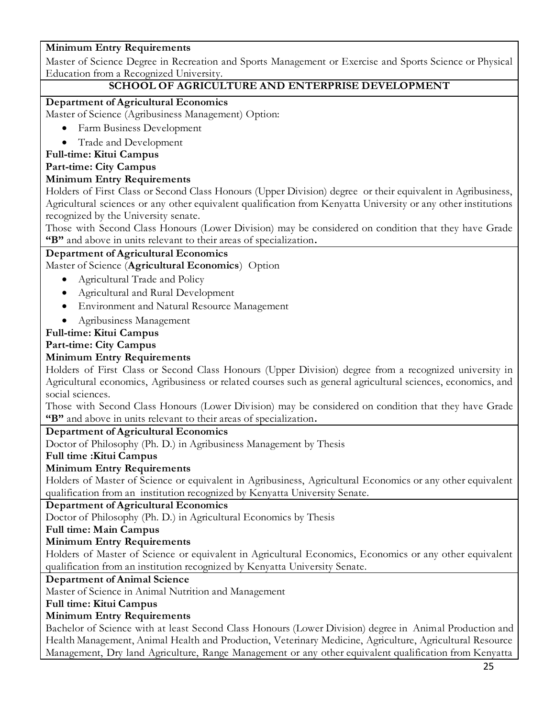# **Minimum Entry Requirements**

Master of Science Degree in Recreation and Sports Management or Exercise and Sports Science or Physical Education from a Recognized University.

## **SCHOOL OF AGRICULTURE AND ENTERPRISE DEVELOPMENT**

#### **Department of Agricultural Economics**

Master of Science (Agribusiness Management) Option:

- Farm Business Development
- Trade and Development

#### **Full-time: Kitui Campus**

#### **Part-time: City Campus**

#### **Minimum Entry Requirements**

Holders of First Class or Second Class Honours (Upper Division) degree or their equivalent in Agribusiness, Agricultural sciences or any other equivalent qualification from Kenyatta University or any other institutions recognized by the University senate.

Those with Second Class Honours (Lower Division) may be considered on condition that they have Grade **"B"** and above in units relevant to their areas of specialization**.**

#### **Department of Agricultural Economics**

Master of Science (**Agricultural Economics**) Option

- Agricultural Trade and Policy
- Agricultural and Rural Development
- Environment and Natural Resource Management
- Agribusiness Management

#### **Full-time: Kitui Campus**

#### **Part-time: City Campus**

#### **Minimum Entry Requirements**

Holders of First Class or Second Class Honours (Upper Division) degree from a recognized university in Agricultural economics, Agribusiness or related courses such as general agricultural sciences, economics, and social sciences.

Those with Second Class Honours (Lower Division) may be considered on condition that they have Grade **"B"** and above in units relevant to their areas of specialization**.**

#### **Department of Agricultural Economics**

Doctor of Philosophy (Ph. D.) in Agribusiness Management by Thesis

#### **Full time :Kitui Campus**

#### **Minimum Entry Requirements**

Holders of Master of Science or equivalent in Agribusiness, Agricultural Economics or any other equivalent qualification from an institution recognized by Kenyatta University Senate.

#### **Department of Agricultural Economics**

Doctor of Philosophy (Ph. D.) in Agricultural Economics by Thesis

#### **Full time: Main Campus**

#### **Minimum Entry Requirements**

Holders of Master of Science or equivalent in Agricultural Economics, Economics or any other equivalent qualification from an institution recognized by Kenyatta University Senate.

#### **Department of Animal Science**

Master of Science in Animal Nutrition and Management

#### **Full time: Kitui Campus**

#### **Minimum Entry Requirements**

Bachelor of Science with at least Second Class Honours (Lower Division) degree in Animal Production and Health Management, Animal Health and Production, Veterinary Medicine, Agriculture, Agricultural Resource Management, Dry land Agriculture, Range Management or any other equivalent qualification from Kenyatta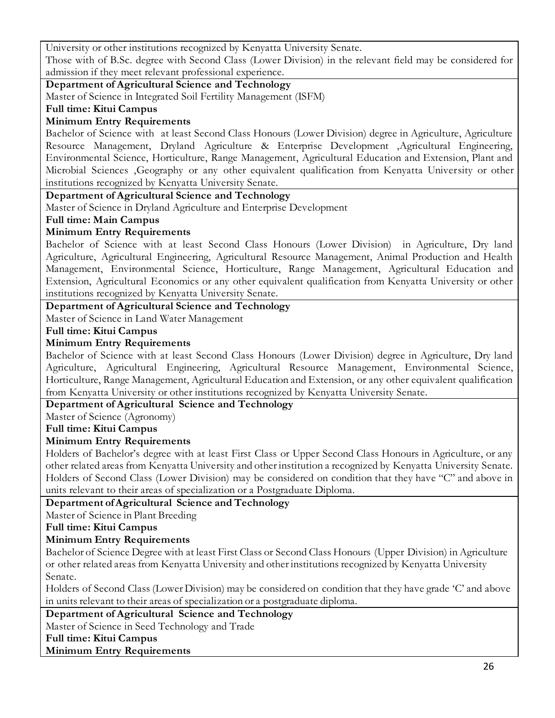University or other institutions recognized by Kenyatta University Senate.

Those with of B.Sc. degree with Second Class (Lower Division) in the relevant field may be considered for admission if they meet relevant professional experience.

#### **Department of Agricultural Science and Technology**

Master of Science in Integrated Soil Fertility Management (ISFM)

#### **Full time: Kitui Campus**

#### **Minimum Entry Requirements**

Bachelor of Science with at least Second Class Honours (Lower Division) degree in Agriculture, Agriculture Resource Management, Dryland Agriculture & Enterprise Development ,Agricultural Engineering, Environmental Science, Horticulture, Range Management, Agricultural Education and Extension, Plant and Microbial Sciences ,Geography or any other equivalent qualification from Kenyatta University or other institutions recognized by Kenyatta University Senate.

#### **Department of Agricultural Science and Technology**

Master of Science in Dryland Agriculture and Enterprise Development

#### **Full time: Main Campus**

# **Minimum Entry Requirements**

Bachelor of Science with at least Second Class Honours (Lower Division) in Agriculture, Dry land Agriculture, Agricultural Engineering, Agricultural Resource Management, Animal Production and Health Management, Environmental Science, Horticulture, Range Management, Agricultural Education and Extension, Agricultural Economics or any other equivalent qualification from Kenyatta University or other institutions recognized by Kenyatta University Senate.

# **Department of Agricultural Science and Technology**

Master of Science in Land Water Management

#### **Full time: Kitui Campus**

#### **Minimum Entry Requirements**

Bachelor of Science with at least Second Class Honours (Lower Division) degree in Agriculture, Dry land Agriculture, Agricultural Engineering, Agricultural Resource Management, Environmental Science, Horticulture, Range Management, Agricultural Education and Extension, or any other equivalent qualification from Kenyatta University or other institutions recognized by Kenyatta University Senate.

#### **Department of Agricultural Science and Technology**

Master of Science (Agronomy)

#### **Full time: Kitui Campus**

#### **Minimum Entry Requirements**

Holders of Bachelor's degree with at least First Class or Upper Second Class Honours in Agriculture, or any other related areas from Kenyatta University and other institution a recognized by Kenyatta University Senate. Holders of Second Class (Lower Division) may be considered on condition that they have "C" and above in units relevant to their areas of specialization or a Postgraduate Diploma.

#### **Department of Agricultural Science and Technology**

Master of Science in Plant Breeding

#### **Full time: Kitui Campus**

#### **Minimum Entry Requirements**

Bachelor of Science Degree with at least First Class or Second Class Honours (Upper Division) in Agriculture or other related areas from Kenyatta University and other institutions recognized by Kenyatta University Senate.

Holders of Second Class (Lower Division) may be considered on condition that they have grade 'C' and above in units relevant to their areas of specialization or a postgraduate diploma.

# **Department of Agricultural Science and Technology**

Master of Science in Seed Technology and Trade

**Full time: Kitui Campus**

#### **Minimum Entry Requirements**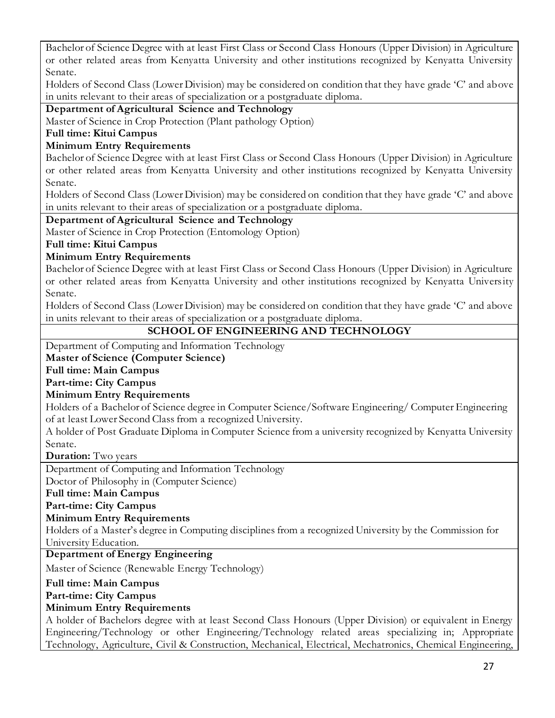Bachelor of Science Degree with at least First Class or Second Class Honours (Upper Division) in Agriculture or other related areas from Kenyatta University and other institutions recognized by Kenyatta University Senate.

Holders of Second Class (Lower Division) may be considered on condition that they have grade 'C' and above in units relevant to their areas of specialization or a postgraduate diploma.

# **Department of Agricultural Science and Technology**

Master of Science in Crop Protection (Plant pathology Option)

**Full time: Kitui Campus**

## **Minimum Entry Requirements**

Bachelor of Science Degree with at least First Class or Second Class Honours (Upper Division) in Agriculture or other related areas from Kenyatta University and other institutions recognized by Kenyatta University Senate.

Holders of Second Class (Lower Division) may be considered on condition that they have grade 'C' and above in units relevant to their areas of specialization or a postgraduate diploma.

#### **Department of Agricultural Science and Technology**

Master of Science in Crop Protection (Entomology Option)

**Full time: Kitui Campus**

# **Minimum Entry Requirements**

Bachelor of Science Degree with at least First Class or Second Class Honours (Upper Division) in Agriculture or other related areas from Kenyatta University and other institutions recognized by Kenyatta University Senate.

Holders of Second Class (Lower Division) may be considered on condition that they have grade 'C' and above in units relevant to their areas of specialization or a postgraduate diploma.

# **SCHOOL OF ENGINEERING AND TECHNOLOGY**

Department of Computing and Information Technology

**Master of Science (Computer Science)** 

**Full time: Main Campus**

**Part-time: City Campus**

#### **Minimum Entry Requirements**

Holders of a Bachelor of Science degree in Computer Science/Software Engineering/ Computer Engineering of at least Lower Second Class from a recognized University.

A holder of Post Graduate Diploma in Computer Science from a university recognized by Kenyatta University Senate.

**Duration:** Two years

Department of Computing and Information Technology

Doctor of Philosophy in (Computer Science)

**Full time: Main Campus**

**Part-time: City Campus**

#### **Minimum Entry Requirements**

Holders of a Master's degree in Computing disciplines from a recognized University by the Commission for University Education.

# **Department of Energy Engineering**

Master of Science (Renewable Energy Technology)

#### **Full time: Main Campus**

**Part-time: City Campus**

#### **Minimum Entry Requirements**

A holder of Bachelors degree with at least Second Class Honours (Upper Division) or equivalent in Energy Engineering/Technology or other Engineering/Technology related areas specializing in; Appropriate Technology, Agriculture, Civil & Construction, Mechanical, Electrical, Mechatronics, Chemical Engineering,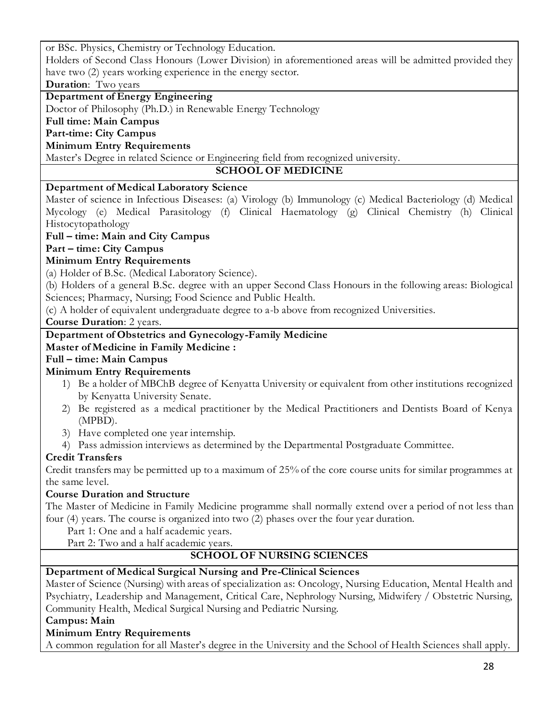or BSc. Physics, Chemistry or Technology Education.

Holders of Second Class Honours (Lower Division) in aforementioned areas will be admitted provided they have two (2) years working experience in the energy sector.

**Duration**: Two years

# **Department of Energy Engineering**

Doctor of Philosophy (Ph.D.) in Renewable Energy Technology

# **Full time: Main Campus**

**Part-time: City Campus**

## **Minimum Entry Requirements**

Master's Degree in related Science or Engineering field from recognized university.

# **SCHOOL OF MEDICINE**

# **Department of Medical Laboratory Science**

Master of science in Infectious Diseases: (a) Virology (b) Immunology (c) Medical Bacteriology (d) Medical Mycology (e) Medical Parasitology (f) Clinical Haematology (g) Clinical Chemistry (h) Clinical Histocytopathology

# **Full – time: Main and City Campus**

**Part – time: City Campus**

# **Minimum Entry Requirements**

(a) Holder of B.Sc. (Medical Laboratory Science).

(b) Holders of a general B.Sc. degree with an upper Second Class Honours in the following areas: Biological Sciences; Pharmacy, Nursing; Food Science and Public Health.

(c) A holder of equivalent undergraduate degree to a-b above from recognized Universities.

**Course Duration**: 2 years.

# **Department of Obstetrics and Gynecology-Family Medicine**

# **Master of Medicine in Family Medicine :**

**Full – time: Main Campus**

# **Minimum Entry Requirements**

- 1) Be a holder of MBChB degree of Kenyatta University or equivalent from other institutions recognized by Kenyatta University Senate.
- 2) Be registered as a medical practitioner by the Medical Practitioners and Dentists Board of Kenya (MPBD).
- 3) Have completed one year internship.
- 4) Pass admission interviews as determined by the Departmental Postgraduate Committee.

# **Credit Transfers**

Credit transfers may be permitted up to a maximum of 25% of the core course units for similar programmes at the same level.

# **Course Duration and Structure**

The Master of Medicine in Family Medicine programme shall normally extend over a period of not less than four (4) years. The course is organized into two (2) phases over the four year duration.

Part 1: One and a half academic years.

Part 2: Two and a half academic years.

# **SCHOOL OF NURSING SCIENCES**

# **Department of Medical Surgical Nursing and Pre-Clinical Sciences**

Master of Science (Nursing) with areas of specialization as: Oncology, Nursing Education, Mental Health and Psychiatry, Leadership and Management, Critical Care, Nephrology Nursing, Midwifery / Obstetric Nursing, Community Health, Medical Surgical Nursing and Pediatric Nursing.

**Campus: Main** 

# **Minimum Entry Requirements**

A common regulation for all Master's degree in the University and the School of Health Sciences shall apply.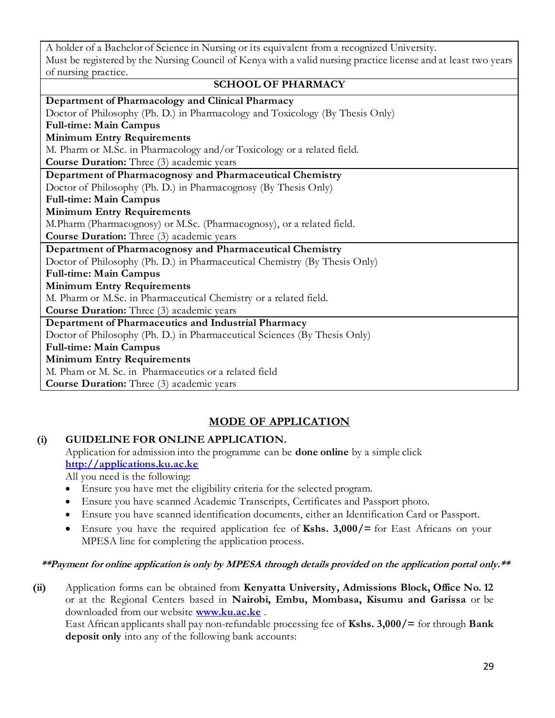A holder of a Bachelor of Science in Nursing or its equivalent from a recognized University. Must be registered by the Nursing Council of Kenya with a valid nursing practice license and at least two years of nursing practice.

#### **SCHOOL OF PHARMACY**

| Department of Pharmacology and Clinical Pharmacy                              |
|-------------------------------------------------------------------------------|
| Doctor of Philosophy (Ph. D.) in Pharmacology and Toxicology (By Thesis Only) |
| <b>Full-time: Main Campus</b>                                                 |
| <b>Minimum Entry Requirements</b>                                             |
| M. Pharm or M.Sc. in Pharmacology and/or Toxicology or a related field.       |
| <b>Course Duration:</b> Three (3) academic years                              |
| Department of Pharmacognosy and Pharmaceutical Chemistry                      |
| Doctor of Philosophy (Ph. D.) in Pharmacognosy (By Thesis Only)               |
| <b>Full-time: Main Campus</b>                                                 |
| <b>Minimum Entry Requirements</b>                                             |
| M.Pharm (Pharmacognosy) or M.Sc. (Pharmacognosy), or a related field.         |
| <b>Course Duration:</b> Three (3) academic years                              |
| Department of Pharmacognosy and Pharmaceutical Chemistry                      |
| Doctor of Philosophy (Ph. D.) in Pharmaceutical Chemistry (By Thesis Only)    |
| <b>Full-time: Main Campus</b>                                                 |
| <b>Minimum Entry Requirements</b>                                             |
| M. Pharm or M.Sc. in Pharmaceutical Chemistry or a related field.             |
| <b>Course Duration:</b> Three (3) academic years                              |
| Department of Pharmaceutics and Industrial Pharmacy                           |
| Doctor of Philosophy (Ph. D.) in Pharmaceutical Sciences (By Thesis Only)     |
| <b>Full-time: Main Campus</b>                                                 |
| <b>Minimum Entry Requirements</b>                                             |
| M. Pham or M. Sc. in Pharmaceutics or a related field                         |
| <b>Course Duration:</b> Three (3) academic years                              |
|                                                                               |

# **MODE OF APPLICATION**

#### **(i) GUIDELINE FOR ONLINE APPLICATION.**

Application for admission into the programme can be **done online** by a simple click **[http://applications.ku.ac.ke](http://applications.ku.ac.ke/)**

All you need is the following:

- Ensure you have met the eligibility criteria for the selected program.
- Ensure you have scanned Academic Transcripts, Certificates and Passport photo.
- Ensure you have scanned identification documents, either an Identification Card or Passport.
- Ensure you have the required application fee of **Kshs. 3,000/=** for East Africans on your MPESA line for completing the application process.

#### **\*\*Payment for online application is only by MPESA through details provided on the application portal only.\*\***

**(ii)** Application forms can be obtained from **Kenyatta University, Admissions Block, Office No. 12** or at the Regional Centers based in **Nairobi, Embu, Mombasa, Kisumu and Garissa** or be downloaded from our website **[www.ku.ac.ke](http://www.ku.ac.ke/)** .

East African applicants shall pay non-refundable processing fee of **Kshs. 3,000/=** for through **Bank deposit only** into any of the following bank accounts: